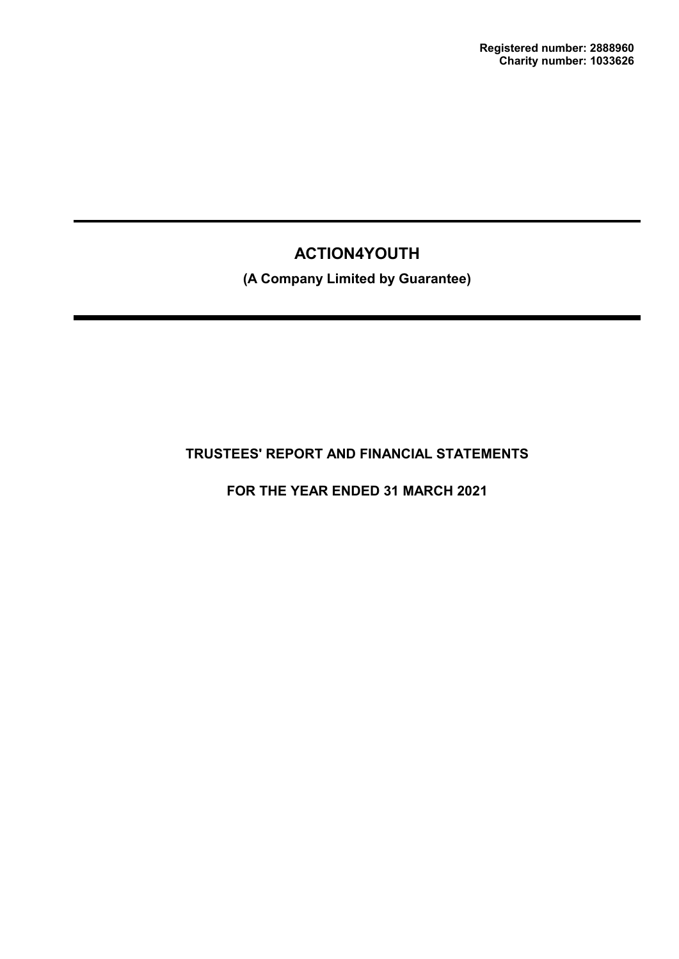**(A Company Limited by Guarantee)**

# **TRUSTEES' REPORT AND FINANCIAL STATEMENTS**

**FOR THE YEAR ENDED 31 MARCH 2021**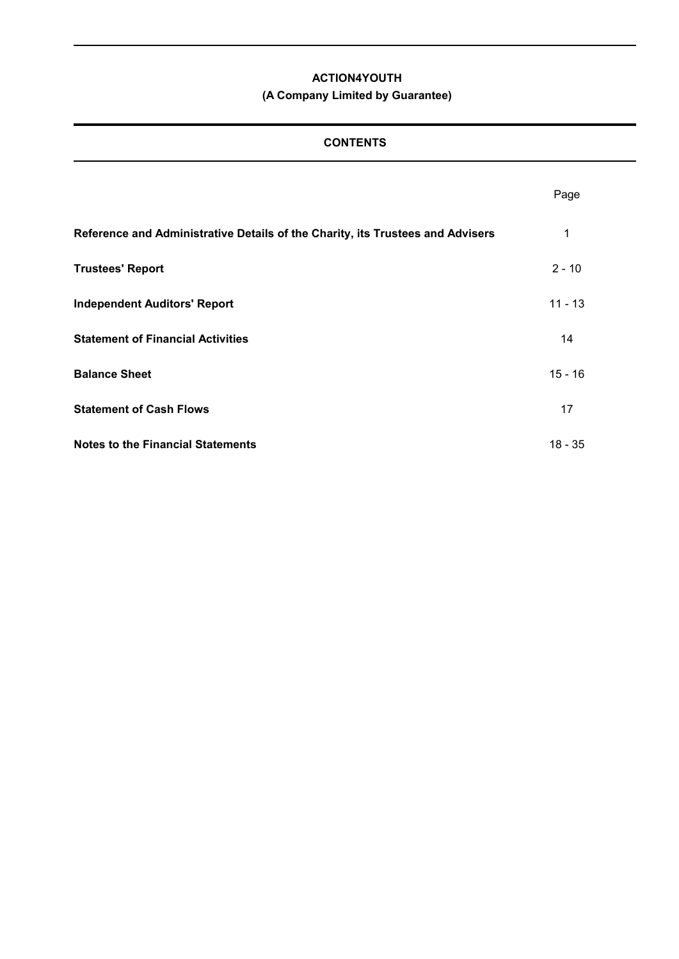# **(A Company Limited by Guarantee)**

# **CONTENTS**

|                                                                                | Page      |
|--------------------------------------------------------------------------------|-----------|
| Reference and Administrative Details of the Charity, its Trustees and Advisers | 1         |
| <b>Trustees' Report</b>                                                        | $2 - 10$  |
| <b>Independent Auditors' Report</b>                                            | $11 - 13$ |
| <b>Statement of Financial Activities</b>                                       | 14        |
| <b>Balance Sheet</b>                                                           | $15 - 16$ |
| <b>Statement of Cash Flows</b>                                                 | 17        |
| <b>Notes to the Financial Statements</b>                                       | $18 - 35$ |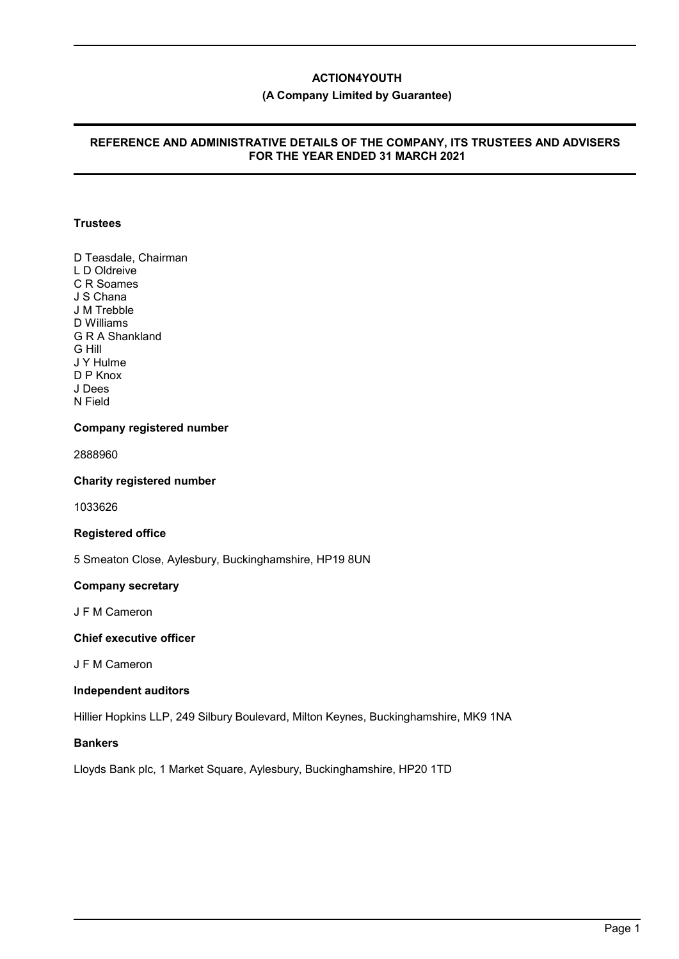### **(A Company Limited by Guarantee)**

### **REFERENCE AND ADMINISTRATIVE DETAILS OF THE COMPANY, ITS TRUSTEES AND ADVISERS FOR THE YEAR ENDED 31 MARCH 2021**

### **Trustees**

D Teasdale, Chairman L D Oldreive C R Soames J S Chana J M Trebble D Williams G R A Shankland G Hill J Y Hulme D P Knox J Dees N Field

#### **Company registered number**

2888960

### **Charity registered number**

1033626

#### **Registered office**

5 Smeaton Close, Aylesbury, Buckinghamshire, HP19 8UN

### **Company secretary**

J F M Cameron

#### **Chief executive officer**

J F M Cameron

### **Independent auditors**

Hillier Hopkins LLP, 249 Silbury Boulevard, Milton Keynes, Buckinghamshire, MK9 1NA

# **Bankers**

Lloyds Bank plc, 1 Market Square, Aylesbury, Buckinghamshire, HP20 1TD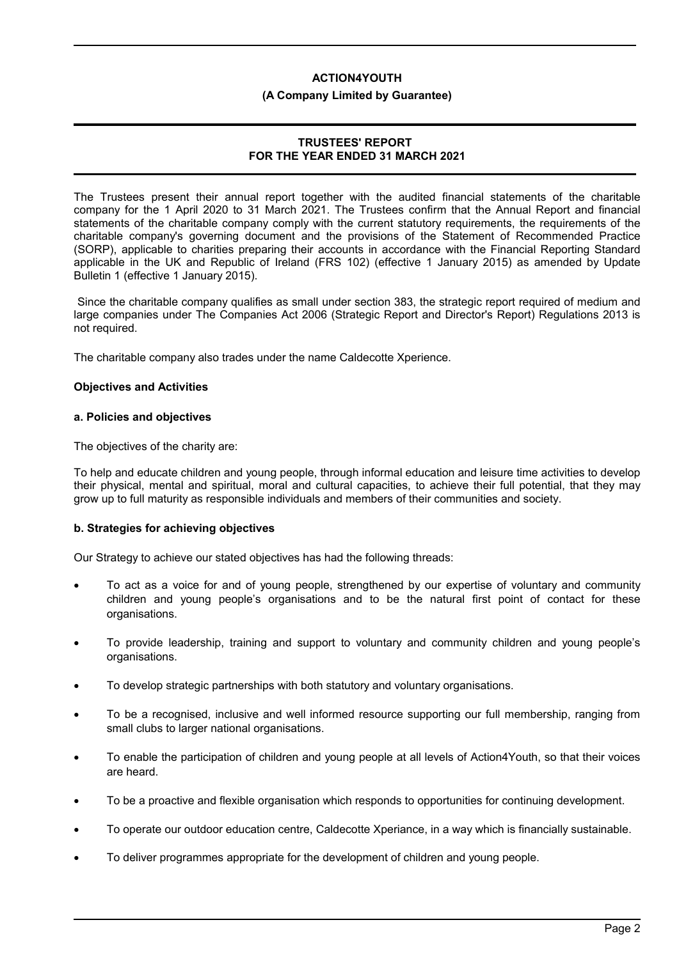#### **(A Company Limited by Guarantee)**

### **TRUSTEES' REPORT FOR THE YEAR ENDED 31 MARCH 2021**

The Trustees present their annual report together with the audited financial statements of the charitable company for the 1 April 2020 to 31 March 2021. The Trustees confirm that the Annual Report and financial statements of the charitable company comply with the current statutory requirements, the requirements of the charitable company's governing document and the provisions of the Statement of Recommended Practice (SORP), applicable to charities preparing their accounts in accordance with the Financial Reporting Standard applicable in the UK and Republic of Ireland (FRS 102) (effective 1 January 2015) as amended by Update Bulletin 1 (effective 1 January 2015).

 Since the charitable company qualifies as small under section 383, the strategic report required of medium and large companies under The Companies Act 2006 (Strategic Report and Director's Report) Regulations 2013 is not required.

The charitable company also trades under the name Caldecotte Xperience.

### **Objectives and Activities**

### **a. Policies and objectives**

The objectives of the charity are:

To help and educate children and young people, through informal education and leisure time activities to develop their physical, mental and spiritual, moral and cultural capacities, to achieve their full potential, that they may grow up to full maturity as responsible individuals and members of their communities and society.

### **b. Strategies for achieving objectives**

Our Strategy to achieve our stated objectives has had the following threads:

- To act as a voice for and of young people, strengthened by our expertise of voluntary and community children and young people's organisations and to be the natural first point of contact for these organisations.
- To provide leadership, training and support to voluntary and community children and young people's organisations.
- To develop strategic partnerships with both statutory and voluntary organisations.
- To be a recognised, inclusive and well informed resource supporting our full membership, ranging from small clubs to larger national organisations.
- To enable the participation of children and young people at all levels of Action4Youth, so that their voices are heard.
- To be a proactive and flexible organisation which responds to opportunities for continuing development.
- To operate our outdoor education centre, Caldecotte Xperiance, in a way which is financially sustainable.
- To deliver programmes appropriate for the development of children and young people.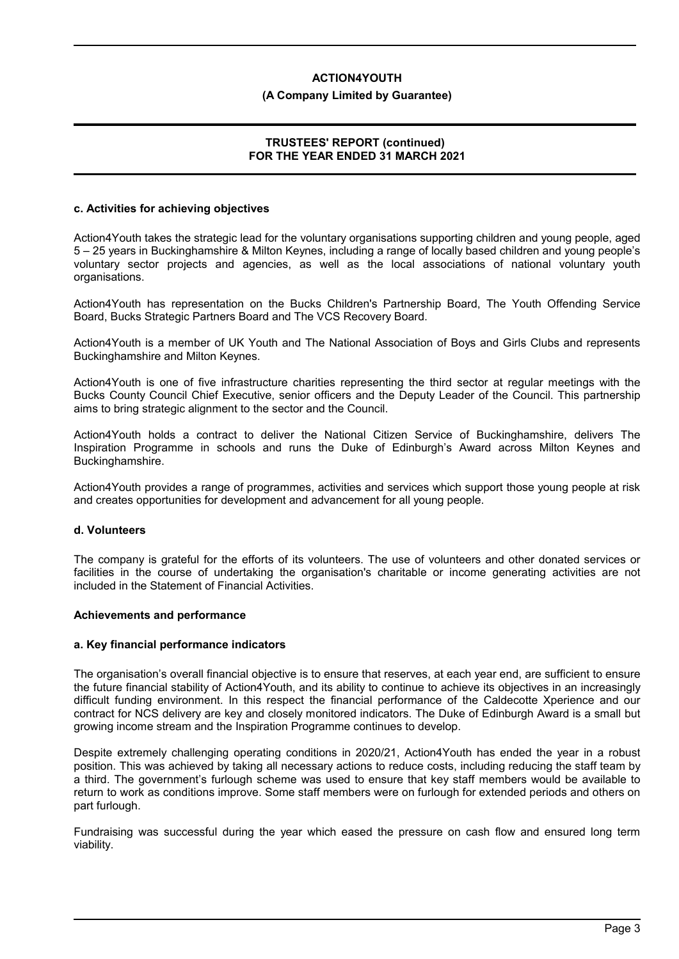#### **(A Company Limited by Guarantee)**

### **TRUSTEES' REPORT (continued) FOR THE YEAR ENDED 31 MARCH 2021**

#### **c. Activities for achieving objectives**

Action4Youth takes the strategic lead for the voluntary organisations supporting children and young people, aged 5 – 25 years in Buckinghamshire & Milton Keynes, including a range of locally based children and young people's voluntary sector projects and agencies, as well as the local associations of national voluntary youth organisations.

Action4Youth has representation on the Bucks Children's Partnership Board, The Youth Offending Service Board, Bucks Strategic Partners Board and The VCS Recovery Board.

Action4Youth is a member of UK Youth and The National Association of Boys and Girls Clubs and represents Buckinghamshire and Milton Keynes.

Action4Youth is one of five infrastructure charities representing the third sector at regular meetings with the Bucks County Council Chief Executive, senior officers and the Deputy Leader of the Council. This partnership aims to bring strategic alignment to the sector and the Council.

Action4Youth holds a contract to deliver the National Citizen Service of Buckinghamshire, delivers The Inspiration Programme in schools and runs the Duke of Edinburgh's Award across Milton Keynes and Buckinghamshire.

Action4Youth provides a range of programmes, activities and services which support those young people at risk and creates opportunities for development and advancement for all young people.

#### **d. Volunteers**

The company is grateful for the efforts of its volunteers. The use of volunteers and other donated services or facilities in the course of undertaking the organisation's charitable or income generating activities are not included in the Statement of Financial Activities.

### **Achievements and performance**

#### **a. Key financial performance indicators**

The organisation's overall financial objective is to ensure that reserves, at each year end, are sufficient to ensure the future financial stability of Action4Youth, and its ability to continue to achieve its objectives in an increasingly difficult funding environment. In this respect the financial performance of the Caldecotte Xperience and our contract for NCS delivery are key and closely monitored indicators. The Duke of Edinburgh Award is a small but growing income stream and the Inspiration Programme continues to develop.

Despite extremely challenging operating conditions in 2020/21, Action4Youth has ended the year in a robust position. This was achieved by taking all necessary actions to reduce costs, including reducing the staff team by a third. The government's furlough scheme was used to ensure that key staff members would be available to return to work as conditions improve. Some staff members were on furlough for extended periods and others on part furlough.

Fundraising was successful during the year which eased the pressure on cash flow and ensured long term viability.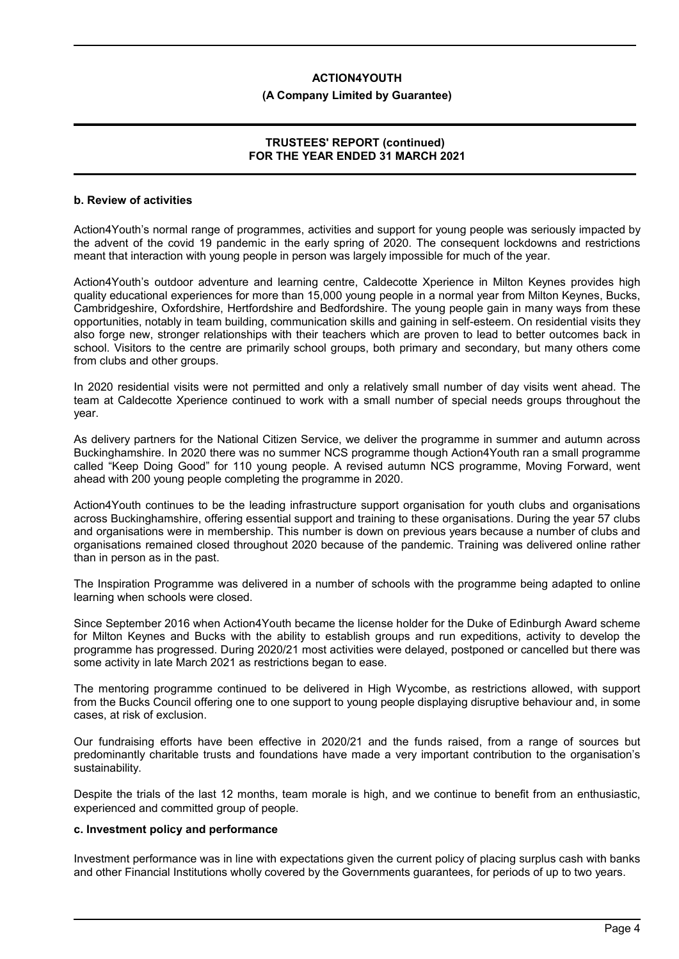#### **(A Company Limited by Guarantee)**

### **TRUSTEES' REPORT (continued) FOR THE YEAR ENDED 31 MARCH 2021**

#### **b. Review of activities**

Action4Youth's normal range of programmes, activities and support for young people was seriously impacted by the advent of the covid 19 pandemic in the early spring of 2020. The consequent lockdowns and restrictions meant that interaction with young people in person was largely impossible for much of the year.

Action4Youth's outdoor adventure and learning centre, Caldecotte Xperience in Milton Keynes provides high quality educational experiences for more than 15,000 young people in a normal year from Milton Keynes, Bucks, Cambridgeshire, Oxfordshire, Hertfordshire and Bedfordshire. The young people gain in many ways from these opportunities, notably in team building, communication skills and gaining in self-esteem. On residential visits they also forge new, stronger relationships with their teachers which are proven to lead to better outcomes back in school. Visitors to the centre are primarily school groups, both primary and secondary, but many others come from clubs and other groups.

In 2020 residential visits were not permitted and only a relatively small number of day visits went ahead. The team at Caldecotte Xperience continued to work with a small number of special needs groups throughout the year.

As delivery partners for the National Citizen Service, we deliver the programme in summer and autumn across Buckinghamshire. In 2020 there was no summer NCS programme though Action4Youth ran a small programme called "Keep Doing Good" for 110 young people. A revised autumn NCS programme, Moving Forward, went ahead with 200 young people completing the programme in 2020.

Action4Youth continues to be the leading infrastructure support organisation for youth clubs and organisations across Buckinghamshire, offering essential support and training to these organisations. During the year 57 clubs and organisations were in membership. This number is down on previous years because a number of clubs and organisations remained closed throughout 2020 because of the pandemic. Training was delivered online rather than in person as in the past.

The Inspiration Programme was delivered in a number of schools with the programme being adapted to online learning when schools were closed.

Since September 2016 when Action4Youth became the license holder for the Duke of Edinburgh Award scheme for Milton Keynes and Bucks with the ability to establish groups and run expeditions, activity to develop the programme has progressed. During 2020/21 most activities were delayed, postponed or cancelled but there was some activity in late March 2021 as restrictions began to ease.

The mentoring programme continued to be delivered in High Wycombe, as restrictions allowed, with support from the Bucks Council offering one to one support to young people displaying disruptive behaviour and, in some cases, at risk of exclusion.

Our fundraising efforts have been effective in 2020/21 and the funds raised, from a range of sources but predominantly charitable trusts and foundations have made a very important contribution to the organisation's sustainability.

Despite the trials of the last 12 months, team morale is high, and we continue to benefit from an enthusiastic, experienced and committed group of people.

#### **c. Investment policy and performance**

Investment performance was in line with expectations given the current policy of placing surplus cash with banks and other Financial Institutions wholly covered by the Governments guarantees, for periods of up to two years.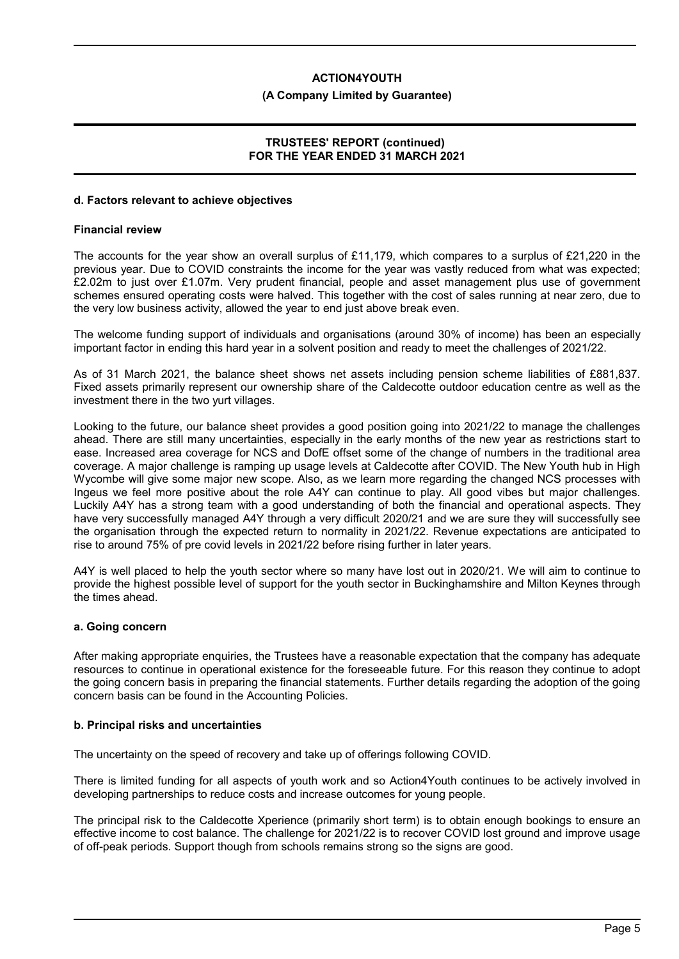#### **(A Company Limited by Guarantee)**

### **TRUSTEES' REPORT (continued) FOR THE YEAR ENDED 31 MARCH 2021**

#### **d. Factors relevant to achieve objectives**

#### **Financial review**

The accounts for the year show an overall surplus of £11,179, which compares to a surplus of £21,220 in the previous year. Due to COVID constraints the income for the year was vastly reduced from what was expected; £2.02m to just over £1.07m. Very prudent financial, people and asset management plus use of government schemes ensured operating costs were halved. This together with the cost of sales running at near zero, due to the very low business activity, allowed the year to end just above break even.

The welcome funding support of individuals and organisations (around 30% of income) has been an especially important factor in ending this hard year in a solvent position and ready to meet the challenges of 2021/22.

As of 31 March 2021, the balance sheet shows net assets including pension scheme liabilities of £881,837. Fixed assets primarily represent our ownership share of the Caldecotte outdoor education centre as well as the investment there in the two yurt villages.

Looking to the future, our balance sheet provides a good position going into 2021/22 to manage the challenges ahead. There are still many uncertainties, especially in the early months of the new year as restrictions start to ease. Increased area coverage for NCS and DofE offset some of the change of numbers in the traditional area coverage. A major challenge is ramping up usage levels at Caldecotte after COVID. The New Youth hub in High Wycombe will give some major new scope. Also, as we learn more regarding the changed NCS processes with Ingeus we feel more positive about the role A4Y can continue to play. All good vibes but major challenges. Luckily A4Y has a strong team with a good understanding of both the financial and operational aspects. They have very successfully managed A4Y through a very difficult 2020/21 and we are sure they will successfully see the organisation through the expected return to normality in 2021/22. Revenue expectations are anticipated to rise to around 75% of pre covid levels in 2021/22 before rising further in later years.

A4Y is well placed to help the youth sector where so many have lost out in 2020/21. We will aim to continue to provide the highest possible level of support for the youth sector in Buckinghamshire and Milton Keynes through the times ahead.

### **a. Going concern**

After making appropriate enquiries, the Trustees have a reasonable expectation that the company has adequate resources to continue in operational existence for the foreseeable future. For this reason they continue to adopt the going concern basis in preparing the financial statements. Further details regarding the adoption of the going concern basis can be found in the Accounting Policies.

#### **b. Principal risks and uncertainties**

The uncertainty on the speed of recovery and take up of offerings following COVID.

There is limited funding for all aspects of youth work and so Action4Youth continues to be actively involved in developing partnerships to reduce costs and increase outcomes for young people.

The principal risk to the Caldecotte Xperience (primarily short term) is to obtain enough bookings to ensure an effective income to cost balance. The challenge for 2021/22 is to recover COVID lost ground and improve usage of off-peak periods. Support though from schools remains strong so the signs are good.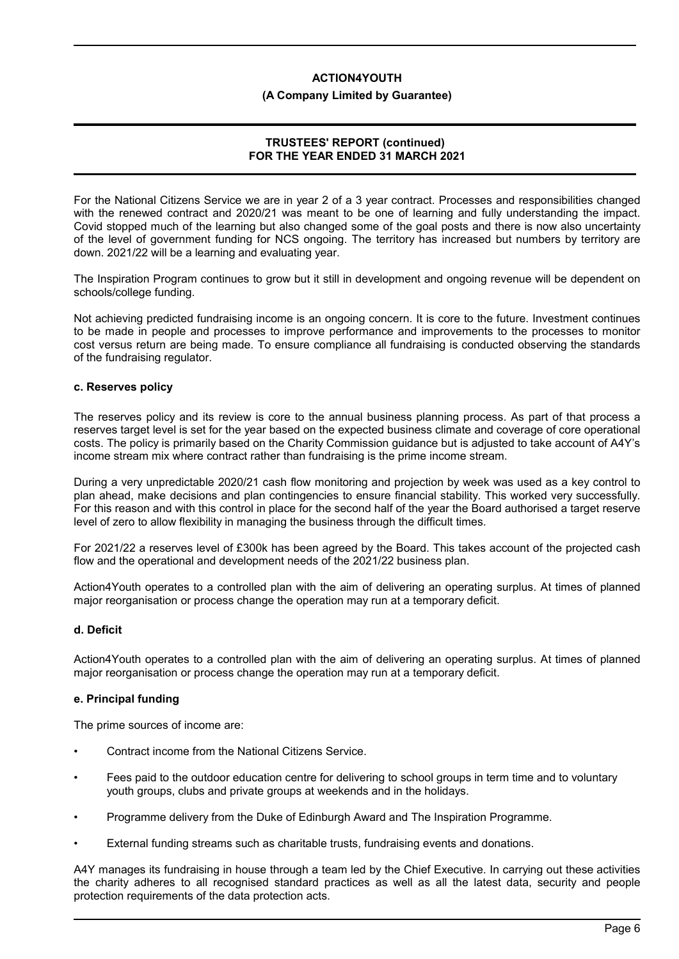#### **(A Company Limited by Guarantee)**

### **TRUSTEES' REPORT (continued) FOR THE YEAR ENDED 31 MARCH 2021**

For the National Citizens Service we are in year 2 of a 3 year contract. Processes and responsibilities changed with the renewed contract and 2020/21 was meant to be one of learning and fully understanding the impact. Covid stopped much of the learning but also changed some of the goal posts and there is now also uncertainty of the level of government funding for NCS ongoing. The territory has increased but numbers by territory are down. 2021/22 will be a learning and evaluating year.

The Inspiration Program continues to grow but it still in development and ongoing revenue will be dependent on schools/college funding.

Not achieving predicted fundraising income is an ongoing concern. It is core to the future. Investment continues to be made in people and processes to improve performance and improvements to the processes to monitor cost versus return are being made. To ensure compliance all fundraising is conducted observing the standards of the fundraising regulator.

#### **c. Reserves policy**

The reserves policy and its review is core to the annual business planning process. As part of that process a reserves target level is set for the year based on the expected business climate and coverage of core operational costs. The policy is primarily based on the Charity Commission guidance but is adjusted to take account of A4Y's income stream mix where contract rather than fundraising is the prime income stream.

During a very unpredictable 2020/21 cash flow monitoring and projection by week was used as a key control to plan ahead, make decisions and plan contingencies to ensure financial stability. This worked very successfully. For this reason and with this control in place for the second half of the year the Board authorised a target reserve level of zero to allow flexibility in managing the business through the difficult times.

For 2021/22 a reserves level of £300k has been agreed by the Board. This takes account of the projected cash flow and the operational and development needs of the 2021/22 business plan.

Action4Youth operates to a controlled plan with the aim of delivering an operating surplus. At times of planned major reorganisation or process change the operation may run at a temporary deficit.

### **d. Deficit**

Action4Youth operates to a controlled plan with the aim of delivering an operating surplus. At times of planned major reorganisation or process change the operation may run at a temporary deficit.

### **e. Principal funding**

The prime sources of income are:

- Contract income from the National Citizens Service.
- Fees paid to the outdoor education centre for delivering to school groups in term time and to voluntary youth groups, clubs and private groups at weekends and in the holidays.
- Programme delivery from the Duke of Edinburgh Award and The Inspiration Programme.
- External funding streams such as charitable trusts, fundraising events and donations.

A4Y manages its fundraising in house through a team led by the Chief Executive. In carrying out these activities the charity adheres to all recognised standard practices as well as all the latest data, security and people protection requirements of the data protection acts.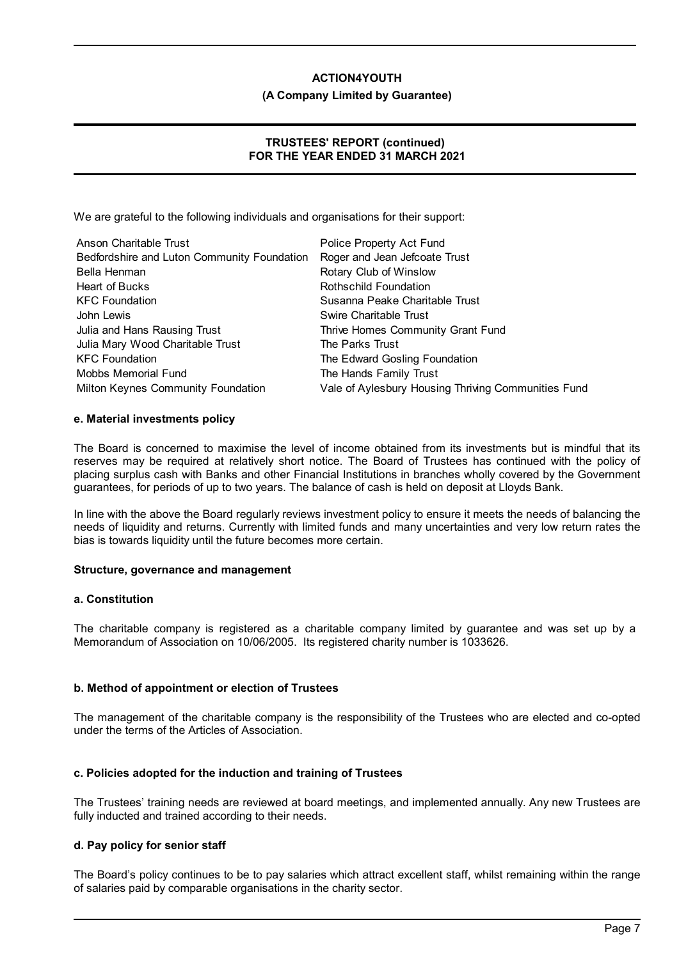#### **(A Company Limited by Guarantee)**

# **TRUSTEES' REPORT (continued) FOR THE YEAR ENDED 31 MARCH 2021**

We are grateful to the following individuals and organisations for their support:

| Anson Charitable Trust                      | Police Property Act Fund                            |
|---------------------------------------------|-----------------------------------------------------|
| Bedfordshire and Luton Community Foundation | Roger and Jean Jefcoate Trust                       |
| Bella Henman                                | Rotary Club of Winslow                              |
| <b>Heart of Bucks</b>                       | Rothschild Foundation                               |
| <b>KFC Foundation</b>                       | Susanna Peake Charitable Trust                      |
| John Lewis                                  | Swire Charitable Trust                              |
| Julia and Hans Rausing Trust                | Thrive Homes Community Grant Fund                   |
| Julia Mary Wood Charitable Trust            | The Parks Trust                                     |
| <b>KFC Foundation</b>                       | The Edward Gosling Foundation                       |
| Mobbs Memorial Fund                         | The Hands Family Trust                              |
| Milton Keynes Community Foundation          | Vale of Aylesbury Housing Thriving Communities Fund |

#### **e. Material investments policy**

The Board is concerned to maximise the level of income obtained from its investments but is mindful that its reserves may be required at relatively short notice. The Board of Trustees has continued with the policy of placing surplus cash with Banks and other Financial Institutions in branches wholly covered by the Government guarantees, for periods of up to two years. The balance of cash is held on deposit at Lloyds Bank.

In line with the above the Board regularly reviews investment policy to ensure it meets the needs of balancing the needs of liquidity and returns. Currently with limited funds and many uncertainties and very low return rates the bias is towards liquidity until the future becomes more certain.

### **Structure, governance and management**

#### **a. Constitution**

The charitable company is registered as a charitable company limited by guarantee and was set up by a Memorandum of Association on 10/06/2005. Its registered charity number is 1033626.

### **b. Method of appointment or election of Trustees**

The management of the charitable company is the responsibility of the Trustees who are elected and co-opted under the terms of the Articles of Association.

### **c. Policies adopted for the induction and training of Trustees**

The Trustees' training needs are reviewed at board meetings, and implemented annually. Any new Trustees are fully inducted and trained according to their needs.

### **d. Pay policy for senior staff**

The Board's policy continues to be to pay salaries which attract excellent staff, whilst remaining within the range of salaries paid by comparable organisations in the charity sector.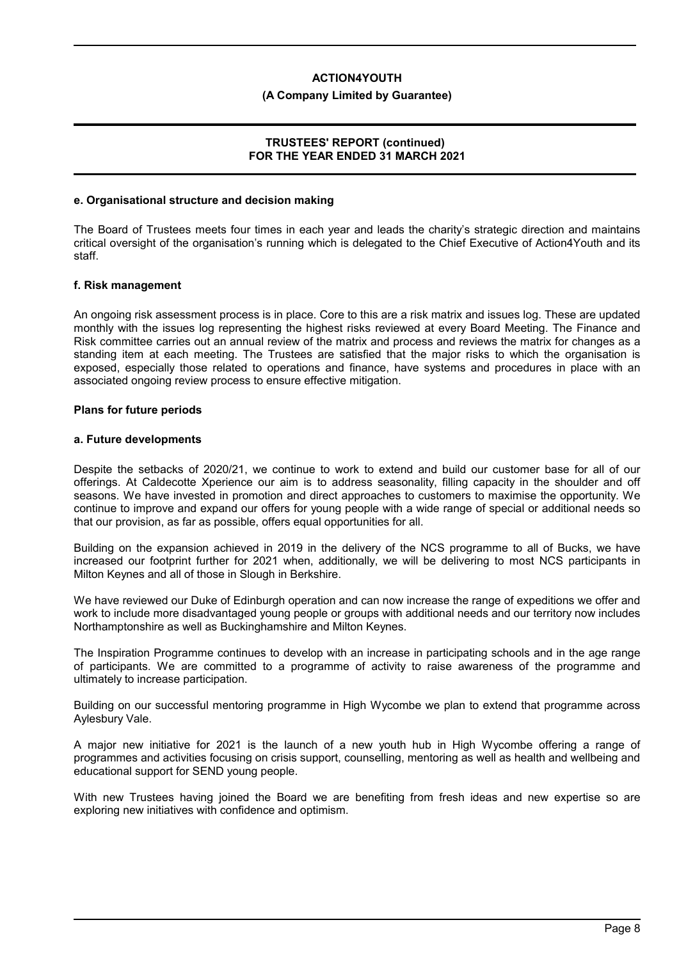#### **(A Company Limited by Guarantee)**

#### **TRUSTEES' REPORT (continued) FOR THE YEAR ENDED 31 MARCH 2021**

#### **e. Organisational structure and decision making**

The Board of Trustees meets four times in each year and leads the charity's strategic direction and maintains critical oversight of the organisation's running which is delegated to the Chief Executive of Action4Youth and its staff.

#### **f. Risk management**

An ongoing risk assessment process is in place. Core to this are a risk matrix and issues log. These are updated monthly with the issues log representing the highest risks reviewed at every Board Meeting. The Finance and Risk committee carries out an annual review of the matrix and process and reviews the matrix for changes as a standing item at each meeting. The Trustees are satisfied that the major risks to which the organisation is exposed, especially those related to operations and finance, have systems and procedures in place with an associated ongoing review process to ensure effective mitigation.

#### **Plans for future periods**

#### **a. Future developments**

Despite the setbacks of 2020/21, we continue to work to extend and build our customer base for all of our offerings. At Caldecotte Xperience our aim is to address seasonality, filling capacity in the shoulder and off seasons. We have invested in promotion and direct approaches to customers to maximise the opportunity. We continue to improve and expand our offers for young people with a wide range of special or additional needs so that our provision, as far as possible, offers equal opportunities for all.

Building on the expansion achieved in 2019 in the delivery of the NCS programme to all of Bucks, we have increased our footprint further for 2021 when, additionally, we will be delivering to most NCS participants in Milton Keynes and all of those in Slough in Berkshire.

We have reviewed our Duke of Edinburgh operation and can now increase the range of expeditions we offer and work to include more disadvantaged young people or groups with additional needs and our territory now includes Northamptonshire as well as Buckinghamshire and Milton Keynes.

The Inspiration Programme continues to develop with an increase in participating schools and in the age range of participants. We are committed to a programme of activity to raise awareness of the programme and ultimately to increase participation.

Building on our successful mentoring programme in High Wycombe we plan to extend that programme across Aylesbury Vale.

A major new initiative for 2021 is the launch of a new youth hub in High Wycombe offering a range of programmes and activities focusing on crisis support, counselling, mentoring as well as health and wellbeing and educational support for SEND young people.

With new Trustees having joined the Board we are benefiting from fresh ideas and new expertise so are exploring new initiatives with confidence and optimism.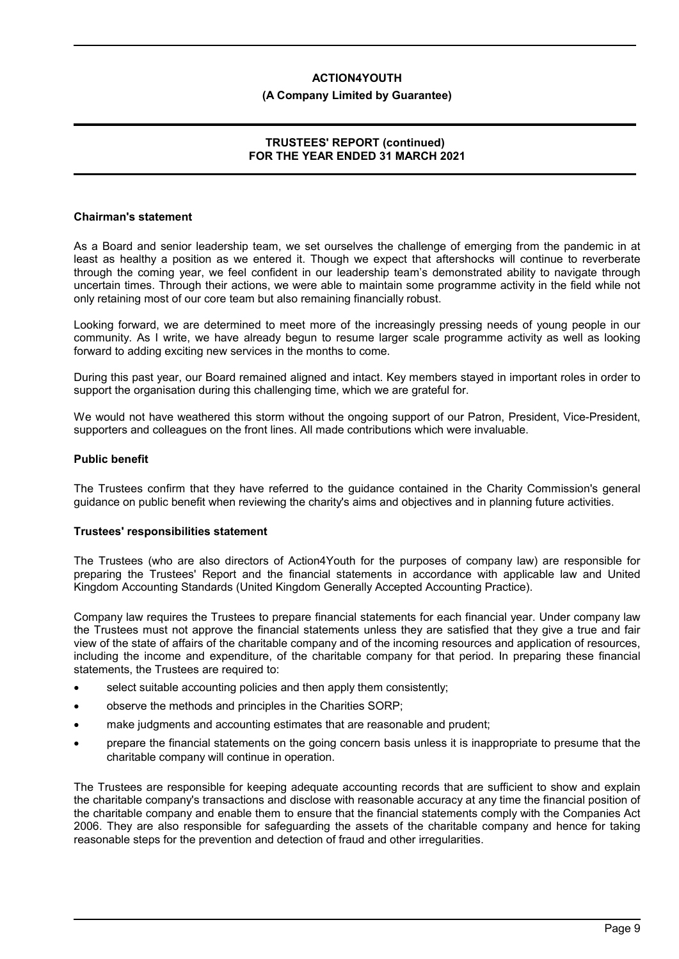#### **(A Company Limited by Guarantee)**

### **TRUSTEES' REPORT (continued) FOR THE YEAR ENDED 31 MARCH 2021**

#### **Chairman's statement**

As a Board and senior leadership team, we set ourselves the challenge of emerging from the pandemic in at least as healthy a position as we entered it. Though we expect that aftershocks will continue to reverberate through the coming year, we feel confident in our leadership team's demonstrated ability to navigate through uncertain times. Through their actions, we were able to maintain some programme activity in the field while not only retaining most of our core team but also remaining financially robust.

Looking forward, we are determined to meet more of the increasingly pressing needs of young people in our community. As I write, we have already begun to resume larger scale programme activity as well as looking forward to adding exciting new services in the months to come.

During this past year, our Board remained aligned and intact. Key members stayed in important roles in order to support the organisation during this challenging time, which we are grateful for.

We would not have weathered this storm without the ongoing support of our Patron, President, Vice-President, supporters and colleagues on the front lines. All made contributions which were invaluable.

#### **Public benefit**

The Trustees confirm that they have referred to the guidance contained in the Charity Commission's general guidance on public benefit when reviewing the charity's aims and objectives and in planning future activities.

#### **Trustees' responsibilities statement**

The Trustees (who are also directors of Action4Youth for the purposes of company law) are responsible for preparing the Trustees' Report and the financial statements in accordance with applicable law and United Kingdom Accounting Standards (United Kingdom Generally Accepted Accounting Practice).

Company law requires the Trustees to prepare financial statements for each financial year. Under company law the Trustees must not approve the financial statements unless they are satisfied that they give a true and fair view of the state of affairs of the charitable company and of the incoming resources and application of resources, including the income and expenditure, of the charitable company for that period. In preparing these financial statements, the Trustees are required to:

- select suitable accounting policies and then apply them consistently;
- observe the methods and principles in the Charities SORP;
- make judgments and accounting estimates that are reasonable and prudent;
- prepare the financial statements on the going concern basis unless it is inappropriate to presume that the charitable company will continue in operation.

The Trustees are responsible for keeping adequate accounting records that are sufficient to show and explain the charitable company's transactions and disclose with reasonable accuracy at any time the financial position of the charitable company and enable them to ensure that the financial statements comply with the Companies Act 2006. They are also responsible for safeguarding the assets of the charitable company and hence for taking reasonable steps for the prevention and detection of fraud and other irregularities.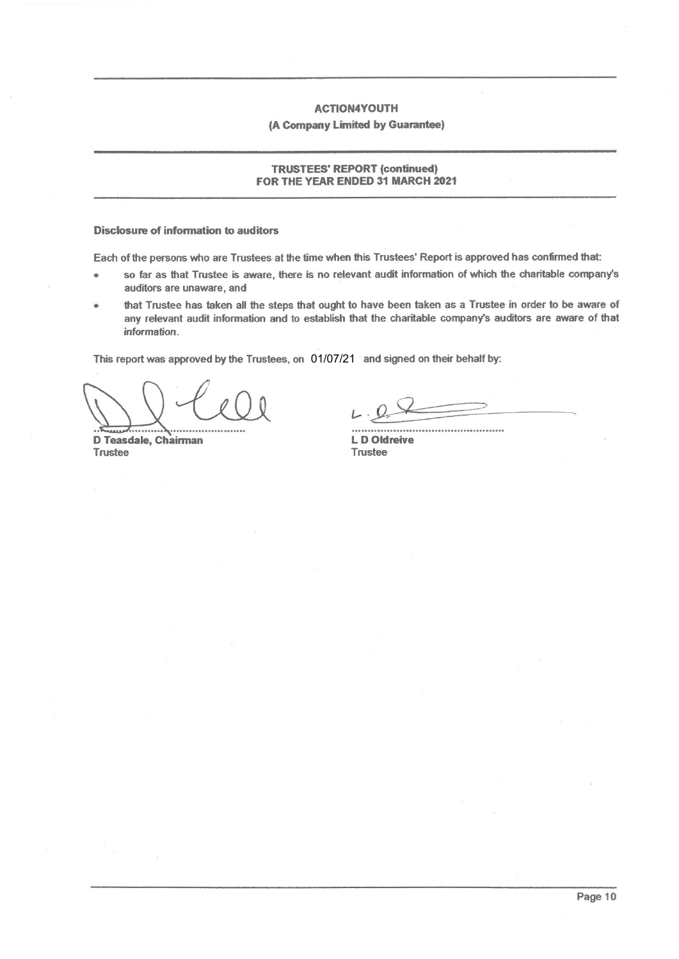#### (A Company Limited by Guarantee)

#### **TRUSTEES' REPORT (continued)** FOR THE YEAR ENDED 31 MARCH 2021

#### **Disclosure of information to auditors**

Each of the persons who are Trustees at the time when this Trustees' Report is approved has confirmed that:

- so far as that Trustee is aware, there is no relevant audit information of which the charitable company's auditors are unaware, and
- that Trustee has taken all the steps that ought to have been taken as a Trustee in order to be aware of any relevant audit information and to establish that the charitable company's auditors are aware of that information.

This report was approved by the Trustees, on 01/07/21 and signed on their behalf by:

D Teasdale, Chairman Trustee

L D Oldreive Trustee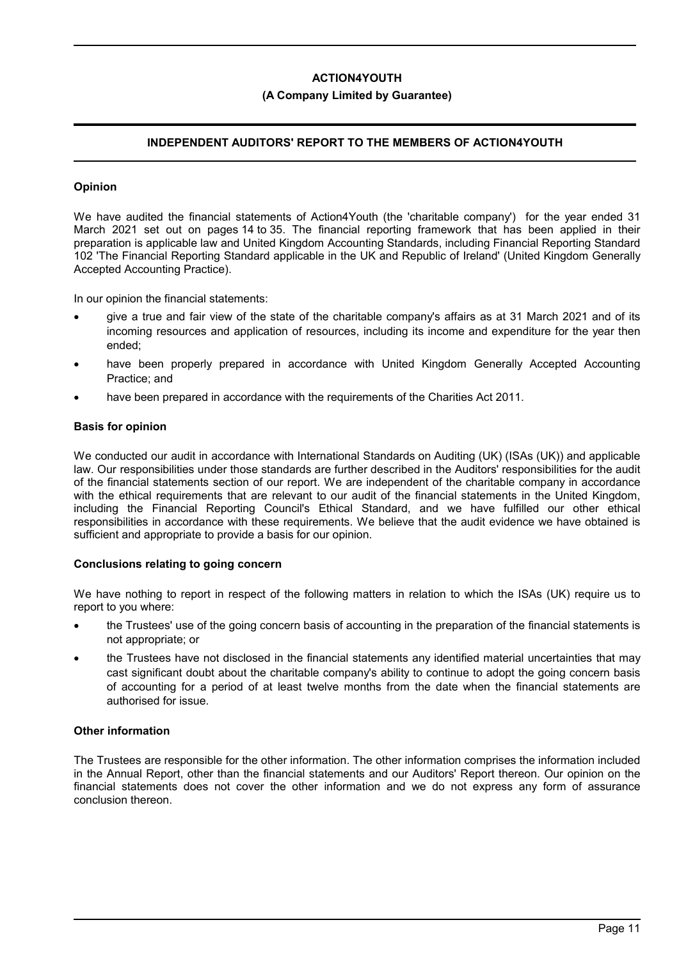#### **(A Company Limited by Guarantee)**

# **INDEPENDENT AUDITORS' REPORT TO THE MEMBERS OF ACTION4YOUTH**

#### **Opinion**

We have audited the financial statements of Action4Youth (the 'charitable company') for the year ended 31 March 2021 set out on pages 14 to 35. The financial reporting framework that has been applied in their preparation is applicable law and United Kingdom Accounting Standards, including Financial Reporting Standard 102 'The Financial Reporting Standard applicable in the UK and Republic of Ireland' (United Kingdom Generally Accepted Accounting Practice).

In our opinion the financial statements:

- give a true and fair view of the state of the charitable company's affairs as at 31 March 2021 and of its incoming resources and application of resources, including its income and expenditure for the year then ended;
- have been properly prepared in accordance with United Kingdom Generally Accepted Accounting Practice; and
- have been prepared in accordance with the requirements of the Charities Act 2011.

#### **Basis for opinion**

We conducted our audit in accordance with International Standards on Auditing (UK) (ISAs (UK)) and applicable law. Our responsibilities under those standards are further described in the Auditors' responsibilities for the audit of the financial statements section of our report. We are independent of the charitable company in accordance with the ethical requirements that are relevant to our audit of the financial statements in the United Kingdom, including the Financial Reporting Council's Ethical Standard, and we have fulfilled our other ethical responsibilities in accordance with these requirements. We believe that the audit evidence we have obtained is sufficient and appropriate to provide a basis for our opinion.

#### **Conclusions relating to going concern**

We have nothing to report in respect of the following matters in relation to which the ISAs (UK) require us to report to you where:

- the Trustees' use of the going concern basis of accounting in the preparation of the financial statements is not appropriate; or
- the Trustees have not disclosed in the financial statements any identified material uncertainties that may cast significant doubt about the charitable company's ability to continue to adopt the going concern basis of accounting for a period of at least twelve months from the date when the financial statements are authorised for issue.

#### **Other information**

The Trustees are responsible for the other information. The other information comprises the information included in the Annual Report, other than the financial statements and our Auditors' Report thereon. Our opinion on the financial statements does not cover the other information and we do not express any form of assurance conclusion thereon.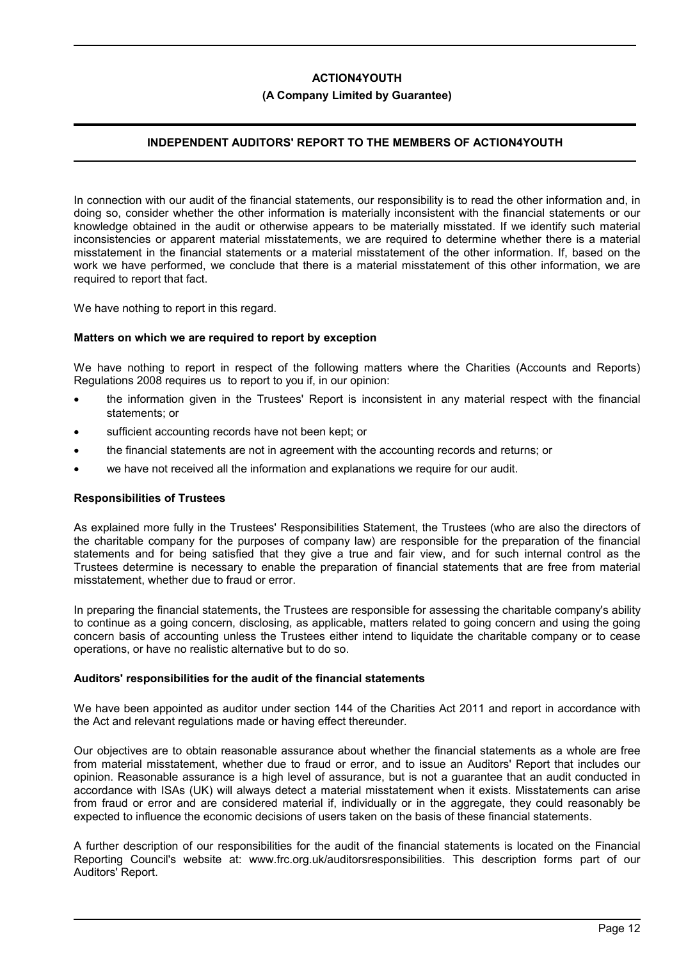### **(A Company Limited by Guarantee)**

# **INDEPENDENT AUDITORS' REPORT TO THE MEMBERS OF ACTION4YOUTH**

In connection with our audit of the financial statements, our responsibility is to read the other information and, in doing so, consider whether the other information is materially inconsistent with the financial statements or our knowledge obtained in the audit or otherwise appears to be materially misstated. If we identify such material inconsistencies or apparent material misstatements, we are required to determine whether there is a material misstatement in the financial statements or a material misstatement of the other information. If, based on the work we have performed, we conclude that there is a material misstatement of this other information, we are required to report that fact.

We have nothing to report in this regard.

#### **Matters on which we are required to report by exception**

We have nothing to report in respect of the following matters where the Charities (Accounts and Reports) Regulations 2008 requires us to report to you if, in our opinion:

- the information given in the Trustees' Report is inconsistent in any material respect with the financial statements; or
- sufficient accounting records have not been kept; or
- the financial statements are not in agreement with the accounting records and returns; or
- we have not received all the information and explanations we require for our audit.

#### **Responsibilities of Trustees**

As explained more fully in the Trustees' Responsibilities Statement, the Trustees (who are also the directors of the charitable company for the purposes of company law) are responsible for the preparation of the financial statements and for being satisfied that they give a true and fair view, and for such internal control as the Trustees determine is necessary to enable the preparation of financial statements that are free from material misstatement, whether due to fraud or error.

In preparing the financial statements, the Trustees are responsible for assessing the charitable company's ability to continue as a going concern, disclosing, as applicable, matters related to going concern and using the going concern basis of accounting unless the Trustees either intend to liquidate the charitable company or to cease operations, or have no realistic alternative but to do so.

### **Auditors' responsibilities for the audit of the financial statements**

We have been appointed as auditor under section 144 of the Charities Act 2011 and report in accordance with the Act and relevant regulations made or having effect thereunder.

Our objectives are to obtain reasonable assurance about whether the financial statements as a whole are free from material misstatement, whether due to fraud or error, and to issue an Auditors' Report that includes our opinion. Reasonable assurance is a high level of assurance, but is not a guarantee that an audit conducted in accordance with ISAs (UK) will always detect a material misstatement when it exists. Misstatements can arise from fraud or error and are considered material if, individually or in the aggregate, they could reasonably be expected to influence the economic decisions of users taken on the basis of these financial statements.

A further description of our responsibilities for the audit of the financial statements is located on the Financial Reporting Council's website at: www.frc.org.uk/auditorsresponsibilities. This description forms part of our Auditors' Report.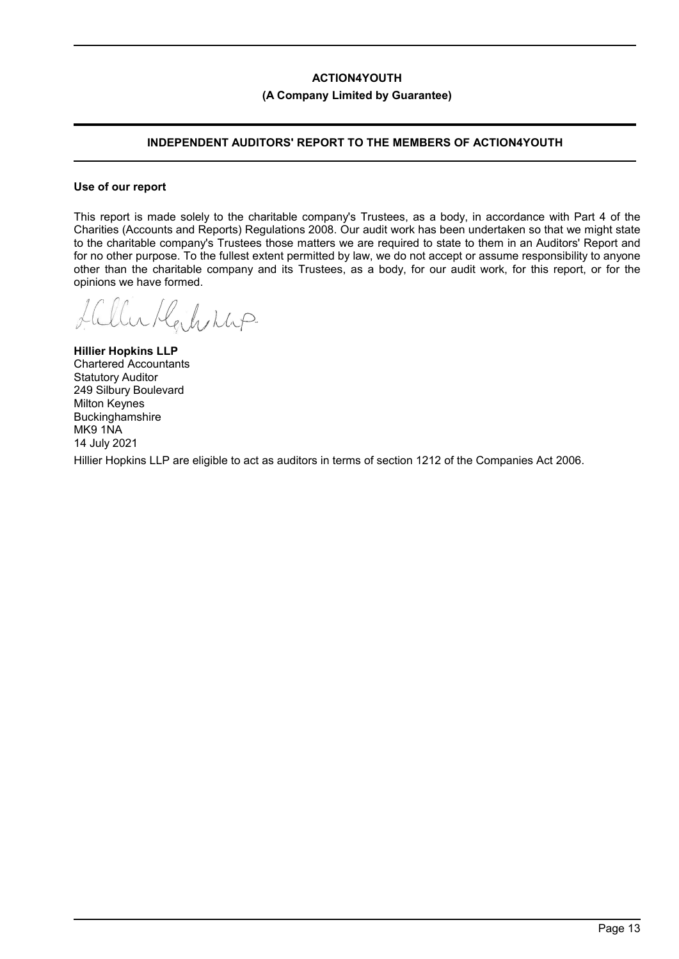### **(A Company Limited by Guarantee)**

# **INDEPENDENT AUDITORS' REPORT TO THE MEMBERS OF ACTION4YOUTH**

#### **Use of our report**

This report is made solely to the charitable company's Trustees, as a body, in accordance with Part 4 of the Charities (Accounts and Reports) Regulations 2008. Our audit work has been undertaken so that we might state to the charitable company's Trustees those matters we are required to state to them in an Auditors' Report and for no other purpose. To the fullest extent permitted by law, we do not accept or assume responsibility to anyone other than the charitable company and its Trustees, as a body, for our audit work, for this report, or for the opinions we have formed.

i Halving

**Hillier Hopkins LLP** Chartered Accountants Statutory Auditor 249 Silbury Boulevard Milton Keynes Buckinghamshire MK9 1NA 14 July 2021

Hillier Hopkins LLP are eligible to act as auditors in terms of section 1212 of the Companies Act 2006.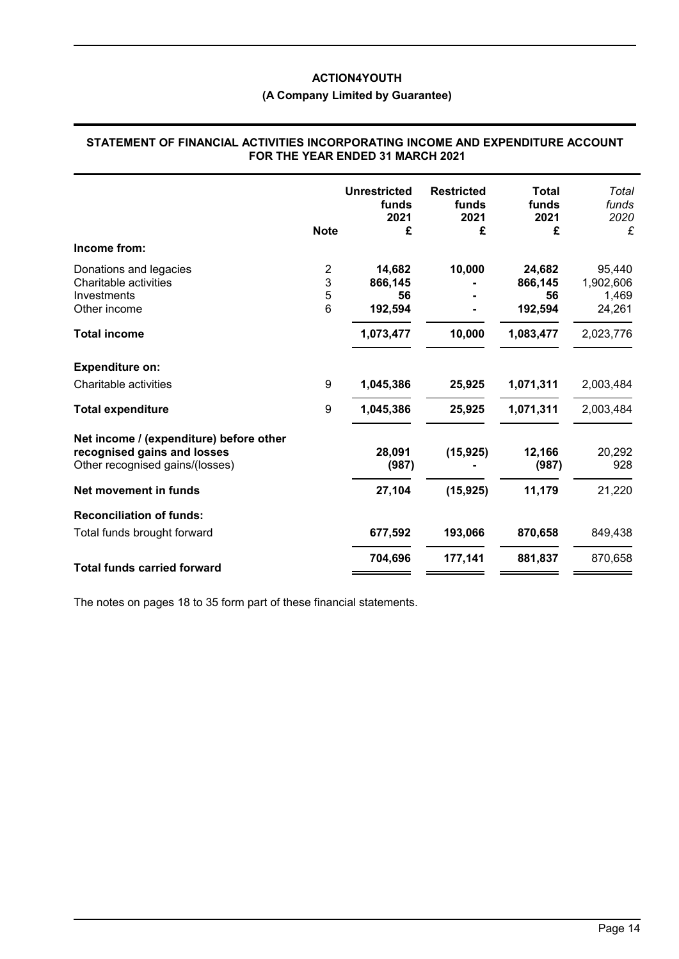# **(A Company Limited by Guarantee)**

### **STATEMENT OF FINANCIAL ACTIVITIES INCORPORATING INCOME AND EXPENDITURE ACCOUNT FOR THE YEAR ENDED 31 MARCH 2021**

|                                                                                                           | <b>Note</b> | <b>Unrestricted</b><br>funds<br>2021<br>£ | <b>Restricted</b><br>funds<br>2021<br>£ | Total<br>funds<br>2021<br>£ | Total<br>funds<br>2020<br>£ |
|-----------------------------------------------------------------------------------------------------------|-------------|-------------------------------------------|-----------------------------------------|-----------------------------|-----------------------------|
| Income from:                                                                                              |             |                                           |                                         |                             |                             |
| Donations and legacies                                                                                    | 2           | 14,682                                    | 10,000                                  | 24,682                      | 95,440                      |
| Charitable activities                                                                                     | 3           | 866,145                                   |                                         | 866,145                     | 1,902,606                   |
| Investments                                                                                               | 5           | 56                                        |                                         | 56                          | 1,469                       |
| Other income                                                                                              | 6           | 192,594                                   |                                         | 192,594                     | 24,261                      |
| <b>Total income</b>                                                                                       |             | 1,073,477                                 | 10,000                                  | 1,083,477                   | 2,023,776                   |
| <b>Expenditure on:</b>                                                                                    |             |                                           |                                         |                             |                             |
| Charitable activities                                                                                     | 9           | 1,045,386                                 | 25,925                                  | 1,071,311                   | 2,003,484                   |
| <b>Total expenditure</b>                                                                                  | 9           | 1,045,386                                 | 25,925                                  | 1,071,311                   | 2,003,484                   |
| Net income / (expenditure) before other<br>recognised gains and losses<br>Other recognised gains/(losses) |             | 28,091<br>(987)                           | (15, 925)                               | 12,166<br>(987)             | 20,292<br>928               |
| Net movement in funds                                                                                     |             | 27,104                                    | (15, 925)                               | 11,179                      | 21,220                      |
| <b>Reconciliation of funds:</b>                                                                           |             |                                           |                                         |                             |                             |
| Total funds brought forward                                                                               |             | 677,592                                   | 193,066                                 | 870,658                     | 849,438                     |
|                                                                                                           |             | 704,696                                   | 177,141                                 | 881,837                     | 870,658                     |
| <b>Total funds carried forward</b>                                                                        |             |                                           |                                         |                             |                             |

The notes on pages 18 to 35 form part of these financial statements.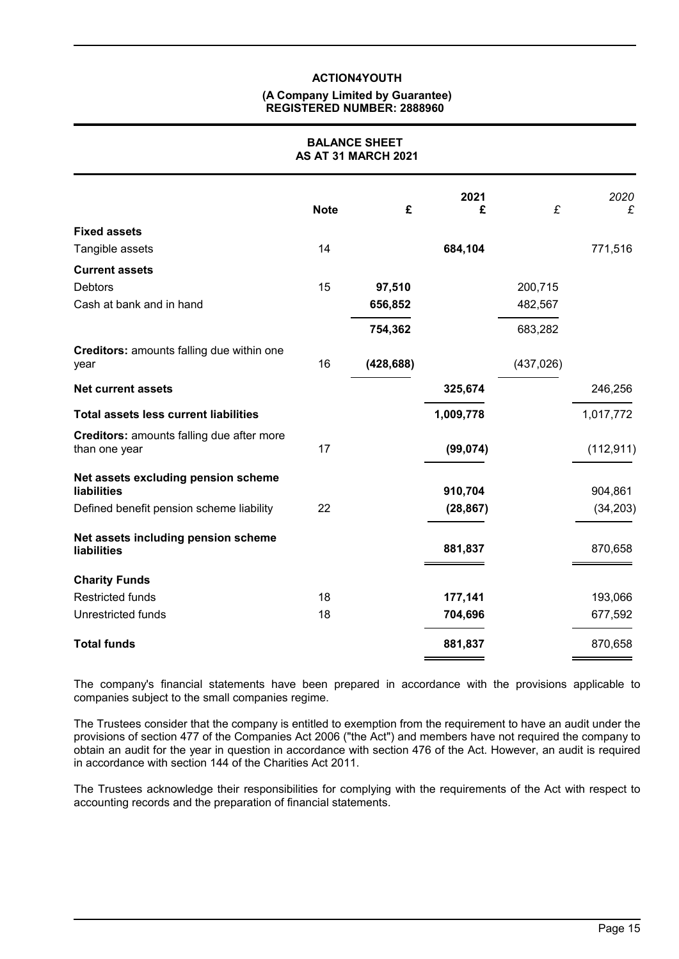#### **(A Company Limited by Guarantee) REGISTERED NUMBER: 2888960**

### **BALANCE SHEET AS AT 31 MARCH 2021**

| <b>Note</b> | £          | 2021<br>£ | £          | 2020<br>£  |
|-------------|------------|-----------|------------|------------|
|             |            |           |            |            |
| 14          |            | 684,104   |            | 771,516    |
|             |            |           |            |            |
| 15          | 97,510     |           | 200,715    |            |
|             | 656,852    |           | 482,567    |            |
|             | 754,362    |           | 683,282    |            |
| 16          | (428, 688) |           | (437, 026) |            |
|             |            | 325,674   |            | 246,256    |
|             |            | 1,009,778 |            | 1,017,772  |
| 17          |            | (99, 074) |            | (112, 911) |
|             |            | 910,704   |            | 904,861    |
| 22          |            | (28, 867) |            | (34, 203)  |
|             |            | 881,837   |            | 870,658    |
|             |            |           |            |            |
| 18          |            | 177,141   |            | 193,066    |
| 18          |            | 704,696   |            | 677,592    |
|             |            | 881,837   |            | 870,658    |
|             |            |           |            |            |

The company's financial statements have been prepared in accordance with the provisions applicable to companies subject to the small companies regime.

The Trustees consider that the company is entitled to exemption from the requirement to have an audit under the provisions of section 477 of the Companies Act 2006 ("the Act") and members have not required the company to obtain an audit for the year in question in accordance with section 476 of the Act. However, an audit is required in accordance with section 144 of the Charities Act 2011.

The Trustees acknowledge their responsibilities for complying with the requirements of the Act with respect to accounting records and the preparation of financial statements.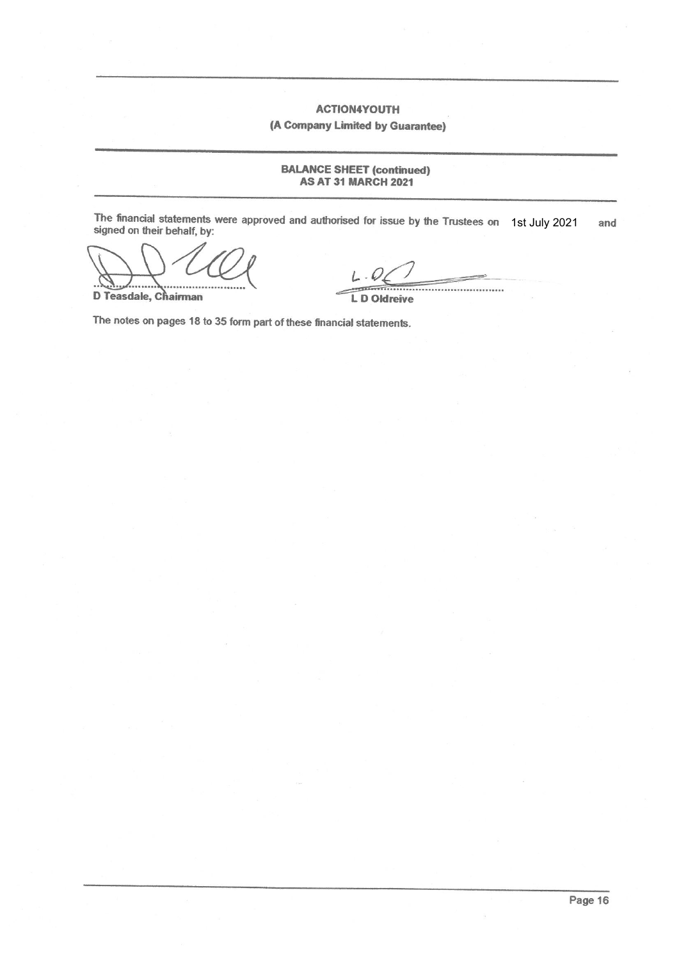**ACTION4YOUTH** (A Company Limited by Guarantee)

**BALANCE SHEET (continued) AS AT 31 MARCH 2021** 

The financial statements were approved and authorised for issue by the Trustees on 1st July 2021 signed on their behalf, by: and

D Teasdale, Chairman

........................

**LD Oldreive** 

The notes on pages 18 to 35 form part of these financial statements.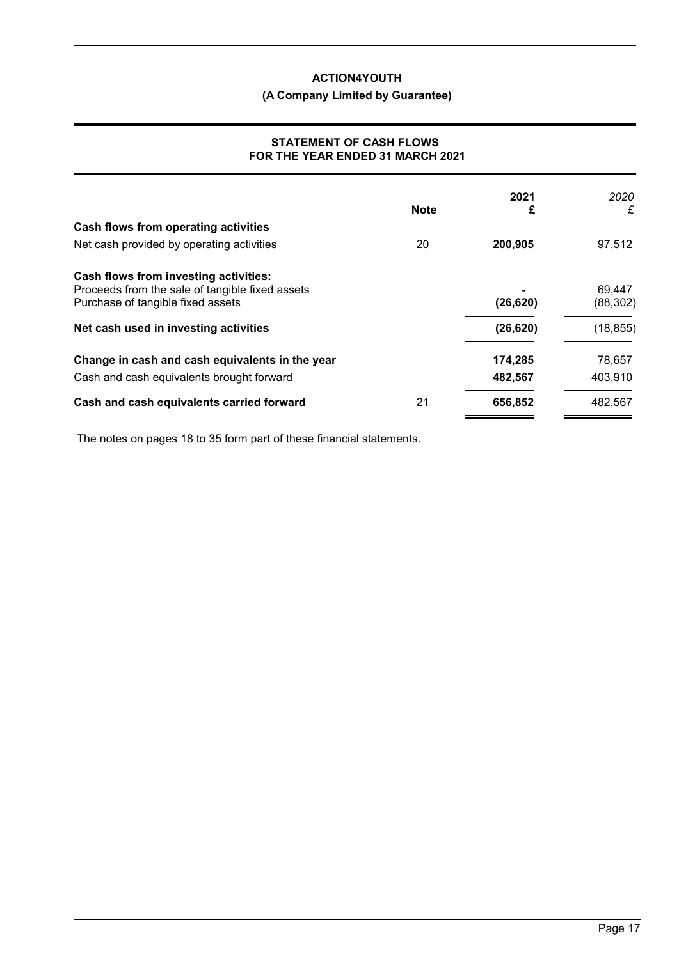# **(A Company Limited by Guarantee)**

### **STATEMENT OF CASH FLOWS FOR THE YEAR ENDED 31 MARCH 2021**

|             |           | 2020              |
|-------------|-----------|-------------------|
| <b>Note</b> | £         | £                 |
|             |           |                   |
| 20          | 200,905   | 97,512            |
|             |           |                   |
|             |           | 69,447            |
|             |           | (88, 302)         |
|             | (26, 620) | (18, 855)         |
|             | 174,285   | 78,657            |
|             | 482,567   | 403,910           |
| 21          | 656,852   | 482,567           |
|             |           | 2021<br>(26, 620) |

The notes on pages 18 to 35 form part of these financial statements.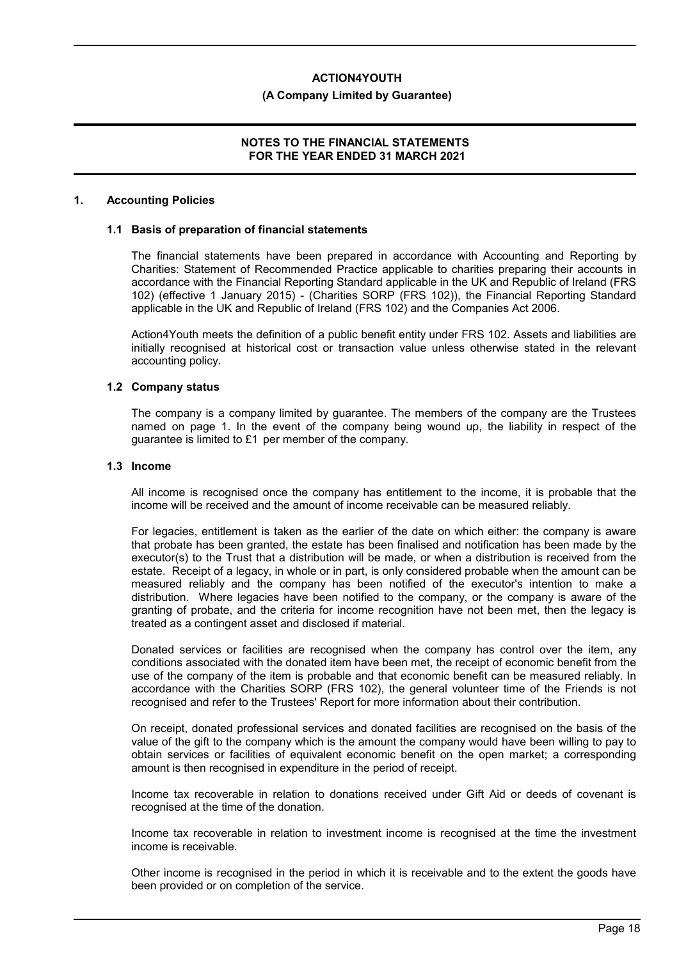#### **(A Company Limited by Guarantee)**

### **NOTES TO THE FINANCIAL STATEMENTS FOR THE YEAR ENDED 31 MARCH 2021**

#### **1. Accounting Policies**

#### **1.1 Basis of preparation of financial statements**

The financial statements have been prepared in accordance with Accounting and Reporting by Charities: Statement of Recommended Practice applicable to charities preparing their accounts in accordance with the Financial Reporting Standard applicable in the UK and Republic of Ireland (FRS 102) (effective 1 January 2015) - (Charities SORP (FRS 102)), the Financial Reporting Standard applicable in the UK and Republic of Ireland (FRS 102) and the Companies Act 2006.

Action4Youth meets the definition of a public benefit entity under FRS 102. Assets and liabilities are initially recognised at historical cost or transaction value unless otherwise stated in the relevant accounting policy.

#### **1.2 Company status**

The company is a company limited by guarantee. The members of the company are the Trustees named on page 1. In the event of the company being wound up, the liability in respect of the guarantee is limited to £1 per member of the company.

#### **1.3 Income**

All income is recognised once the company has entitlement to the income, it is probable that the income will be received and the amount of income receivable can be measured reliably.

For legacies, entitlement is taken as the earlier of the date on which either: the company is aware that probate has been granted, the estate has been finalised and notification has been made by the executor(s) to the Trust that a distribution will be made, or when a distribution is received from the estate. Receipt of a legacy, in whole or in part, is only considered probable when the amount can be measured reliably and the company has been notified of the executor's intention to make a distribution. Where legacies have been notified to the company, or the company is aware of the granting of probate, and the criteria for income recognition have not been met, then the legacy is treated as a contingent asset and disclosed if material.

Donated services or facilities are recognised when the company has control over the item, any conditions associated with the donated item have been met, the receipt of economic benefit from the use of the company of the item is probable and that economic benefit can be measured reliably. In accordance with the Charities SORP (FRS 102), the general volunteer time of the Friends is not recognised and refer to the Trustees' Report for more information about their contribution.

On receipt, donated professional services and donated facilities are recognised on the basis of the value of the gift to the company which is the amount the company would have been willing to pay to obtain services or facilities of equivalent economic benefit on the open market; a corresponding amount is then recognised in expenditure in the period of receipt.

Income tax recoverable in relation to donations received under Gift Aid or deeds of covenant is recognised at the time of the donation.

Income tax recoverable in relation to investment income is recognised at the time the investment income is receivable.

Other income is recognised in the period in which it is receivable and to the extent the goods have been provided or on completion of the service.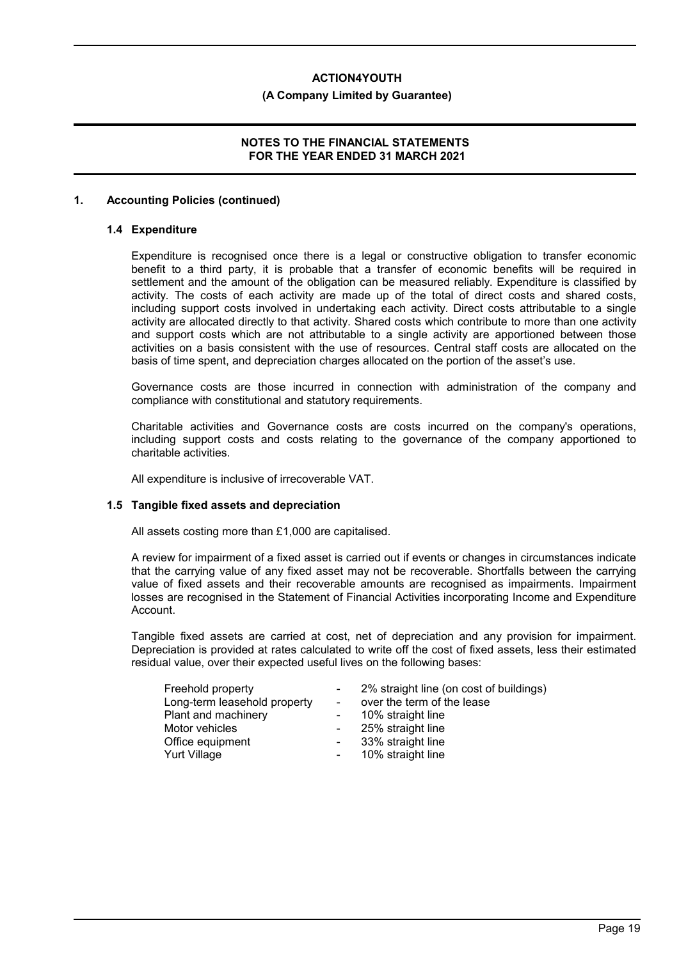#### **(A Company Limited by Guarantee)**

### **NOTES TO THE FINANCIAL STATEMENTS FOR THE YEAR ENDED 31 MARCH 2021**

### **1. Accounting Policies (continued)**

#### **1.4 Expenditure**

Expenditure is recognised once there is a legal or constructive obligation to transfer economic benefit to a third party, it is probable that a transfer of economic benefits will be required in settlement and the amount of the obligation can be measured reliably. Expenditure is classified by activity. The costs of each activity are made up of the total of direct costs and shared costs, including support costs involved in undertaking each activity. Direct costs attributable to a single activity are allocated directly to that activity. Shared costs which contribute to more than one activity and support costs which are not attributable to a single activity are apportioned between those activities on a basis consistent with the use of resources. Central staff costs are allocated on the basis of time spent, and depreciation charges allocated on the portion of the asset's use.

Governance costs are those incurred in connection with administration of the company and compliance with constitutional and statutory requirements.

Charitable activities and Governance costs are costs incurred on the company's operations, including support costs and costs relating to the governance of the company apportioned to charitable activities.

All expenditure is inclusive of irrecoverable VAT.

#### **1.5 Tangible fixed assets and depreciation**

All assets costing more than £1,000 are capitalised.

A review for impairment of a fixed asset is carried out if events or changes in circumstances indicate that the carrying value of any fixed asset may not be recoverable. Shortfalls between the carrying value of fixed assets and their recoverable amounts are recognised as impairments. Impairment losses are recognised in the Statement of Financial Activities incorporating Income and Expenditure Account.

Tangible fixed assets are carried at cost, net of depreciation and any provision for impairment. Depreciation is provided at rates calculated to write off the cost of fixed assets, less their estimated residual value, over their expected useful lives on the following bases:

| Freehold property            |        | 2% straight line (on cost of buildings) |
|------------------------------|--------|-----------------------------------------|
| Long-term leasehold property |        | over the term of the lease              |
| Plant and machinery          |        | 10% straight line                       |
| Motor vehicles               |        | 25% straight line                       |
| Office equipment             | $\sim$ | 33% straight line                       |
| <b>Yurt Village</b>          | $\sim$ | 10% straight line                       |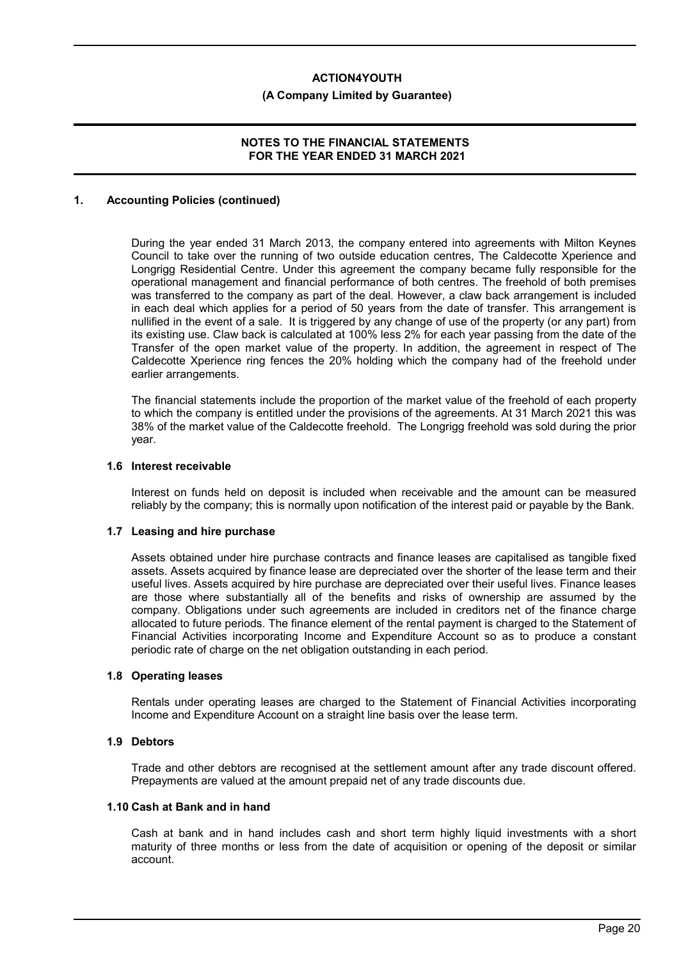#### **(A Company Limited by Guarantee)**

### **NOTES TO THE FINANCIAL STATEMENTS FOR THE YEAR ENDED 31 MARCH 2021**

#### **1. Accounting Policies (continued)**

During the year ended 31 March 2013, the company entered into agreements with Milton Keynes Council to take over the running of two outside education centres, The Caldecotte Xperience and Longrigg Residential Centre. Under this agreement the company became fully responsible for the operational management and financial performance of both centres. The freehold of both premises was transferred to the company as part of the deal. However, a claw back arrangement is included in each deal which applies for a period of 50 years from the date of transfer. This arrangement is nullified in the event of a sale. It is triggered by any change of use of the property (or any part) from its existing use. Claw back is calculated at 100% less 2% for each year passing from the date of the Transfer of the open market value of the property. In addition, the agreement in respect of The Caldecotte Xperience ring fences the 20% holding which the company had of the freehold under earlier arrangements.

The financial statements include the proportion of the market value of the freehold of each property to which the company is entitled under the provisions of the agreements. At 31 March 2021 this was 38% of the market value of the Caldecotte freehold. The Longrigg freehold was sold during the prior year.

#### **1.6 Interest receivable**

Interest on funds held on deposit is included when receivable and the amount can be measured reliably by the company; this is normally upon notification of the interest paid or payable by the Bank.

#### **1.7 Leasing and hire purchase**

Assets obtained under hire purchase contracts and finance leases are capitalised as tangible fixed assets. Assets acquired by finance lease are depreciated over the shorter of the lease term and their useful lives. Assets acquired by hire purchase are depreciated over their useful lives. Finance leases are those where substantially all of the benefits and risks of ownership are assumed by the company. Obligations under such agreements are included in creditors net of the finance charge allocated to future periods. The finance element of the rental payment is charged to the Statement of Financial Activities incorporating Income and Expenditure Account so as to produce a constant periodic rate of charge on the net obligation outstanding in each period.

#### **1.8 Operating leases**

Rentals under operating leases are charged to the Statement of Financial Activities incorporating Income and Expenditure Account on a straight line basis over the lease term.

#### **1.9 Debtors**

Trade and other debtors are recognised at the settlement amount after any trade discount offered. Prepayments are valued at the amount prepaid net of any trade discounts due.

#### **1.10 Cash at Bank and in hand**

Cash at bank and in hand includes cash and short term highly liquid investments with a short maturity of three months or less from the date of acquisition or opening of the deposit or similar account.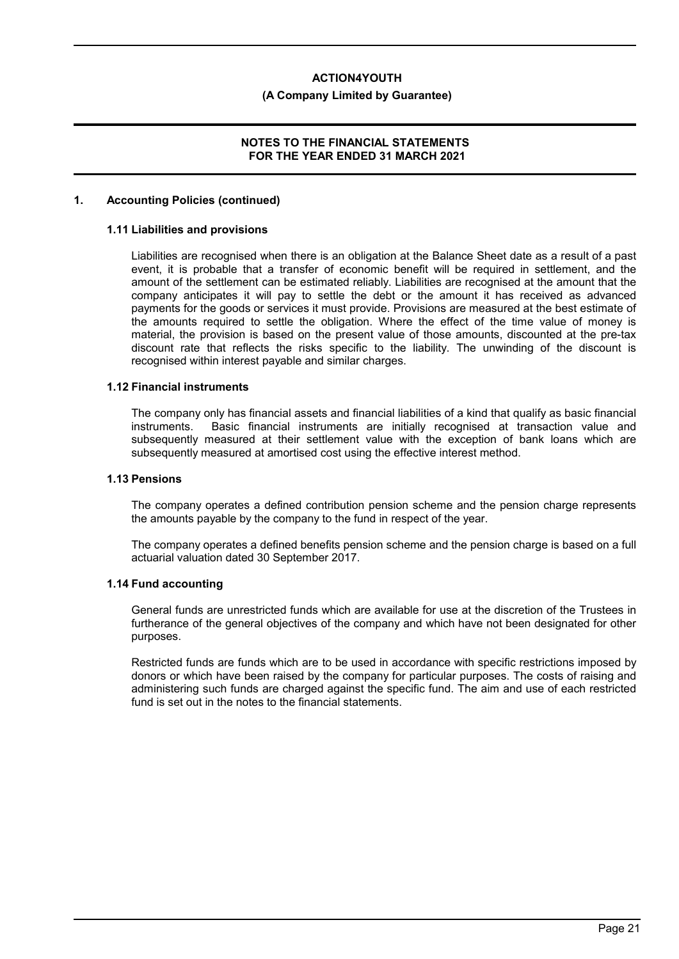#### **(A Company Limited by Guarantee)**

### **NOTES TO THE FINANCIAL STATEMENTS FOR THE YEAR ENDED 31 MARCH 2021**

#### **1. Accounting Policies (continued)**

#### **1.11 Liabilities and provisions**

Liabilities are recognised when there is an obligation at the Balance Sheet date as a result of a past event, it is probable that a transfer of economic benefit will be required in settlement, and the amount of the settlement can be estimated reliably. Liabilities are recognised at the amount that the company anticipates it will pay to settle the debt or the amount it has received as advanced payments for the goods or services it must provide. Provisions are measured at the best estimate of the amounts required to settle the obligation. Where the effect of the time value of money is material, the provision is based on the present value of those amounts, discounted at the pre-tax discount rate that reflects the risks specific to the liability. The unwinding of the discount is recognised within interest payable and similar charges.

#### **1.12 Financial instruments**

The company only has financial assets and financial liabilities of a kind that qualify as basic financial instruments. Basic financial instruments are initially recognised at transaction value and subsequently measured at their settlement value with the exception of bank loans which are subsequently measured at amortised cost using the effective interest method.

#### **1.13 Pensions**

The company operates a defined contribution pension scheme and the pension charge represents the amounts payable by the company to the fund in respect of the year.

The company operates a defined benefits pension scheme and the pension charge is based on a full actuarial valuation dated 30 September 2017.

#### **1.14 Fund accounting**

General funds are unrestricted funds which are available for use at the discretion of the Trustees in furtherance of the general objectives of the company and which have not been designated for other purposes.

Restricted funds are funds which are to be used in accordance with specific restrictions imposed by donors or which have been raised by the company for particular purposes. The costs of raising and administering such funds are charged against the specific fund. The aim and use of each restricted fund is set out in the notes to the financial statements.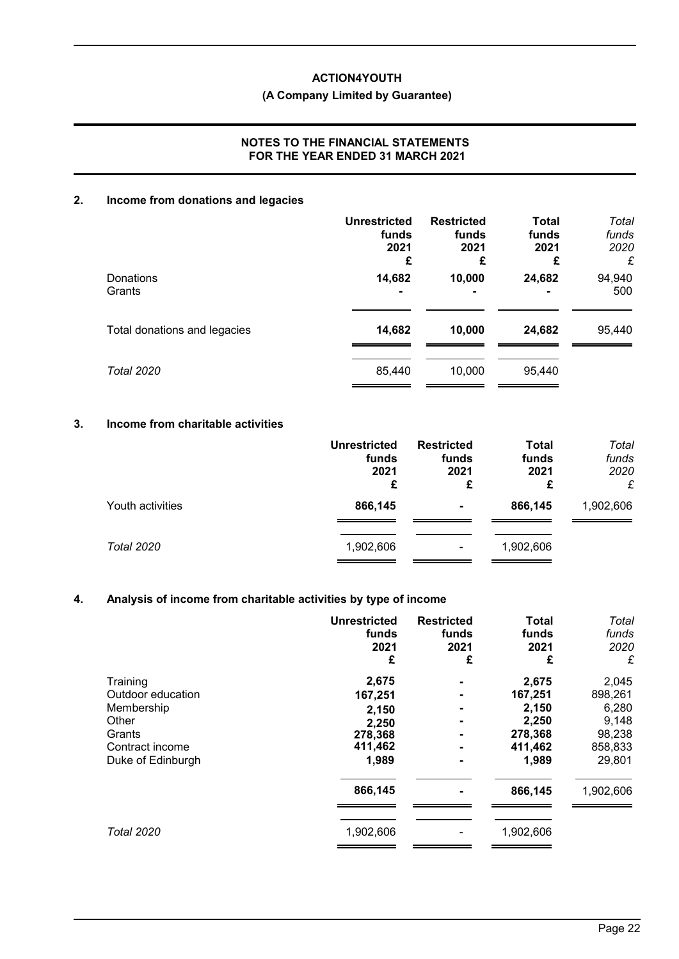# **(A Company Limited by Guarantee)**

### **NOTES TO THE FINANCIAL STATEMENTS FOR THE YEAR ENDED 31 MARCH 2021**

# **2. Income from donations and legacies**

|                              | <b>Unrestricted</b><br>funds<br>2021<br>£ | <b>Restricted</b><br>funds<br>2021<br>£ | <b>Total</b><br>funds<br>2021<br>£ | Total<br>funds<br>2020<br>£ |
|------------------------------|-------------------------------------------|-----------------------------------------|------------------------------------|-----------------------------|
| <b>Donations</b><br>Grants   | 14,682                                    | 10,000                                  | 24,682                             | 94,940<br>500               |
| Total donations and legacies | 14,682                                    | 10,000                                  | 24,682                             | 95,440                      |
| <b>Total 2020</b>            | 85,440                                    | 10,000                                  | 95,440                             |                             |

# **3. Income from charitable activities**

|                  | <b>Unrestricted</b><br>funds<br>2021<br>£ | <b>Restricted</b><br>funds<br>2021<br>£ | <b>Total</b><br>funds<br>2021<br>£ | Total<br>funds<br>2020<br>£ |
|------------------|-------------------------------------------|-----------------------------------------|------------------------------------|-----------------------------|
| Youth activities | 866,145                                   | ۰                                       | 866,145                            | 1,902,606                   |
| Total 2020       | 1,902,606                                 | ۰                                       | 1,902,606                          |                             |

# **4. Analysis of income from charitable activities by type of income**

|                   | <b>Unrestricted</b><br>funds<br>2021<br>£ | <b>Restricted</b><br>funds<br>2021<br>£ | <b>Total</b><br>funds<br>2021<br>£ | Total<br>funds<br>2020<br>£ |
|-------------------|-------------------------------------------|-----------------------------------------|------------------------------------|-----------------------------|
| Training          | 2,675                                     | $\blacksquare$                          | 2,675                              | 2,045                       |
| Outdoor education | 167,251                                   | $\blacksquare$                          | 167,251                            | 898,261                     |
| Membership        | 2,150                                     | $\blacksquare$                          | 2,150                              | 6,280                       |
| Other             | 2,250                                     | $\blacksquare$                          | 2,250                              | 9,148                       |
| Grants            | 278,368                                   | $\blacksquare$                          | 278,368                            | 98,238                      |
| Contract income   | 411,462                                   | $\blacksquare$                          | 411,462                            | 858,833                     |
| Duke of Edinburgh | 1,989                                     | $\blacksquare$                          | 1,989                              | 29,801                      |
|                   | 866,145                                   |                                         | 866,145                            | 1,902,606                   |
| <b>Total 2020</b> | 1,902,606                                 |                                         | 1,902,606                          |                             |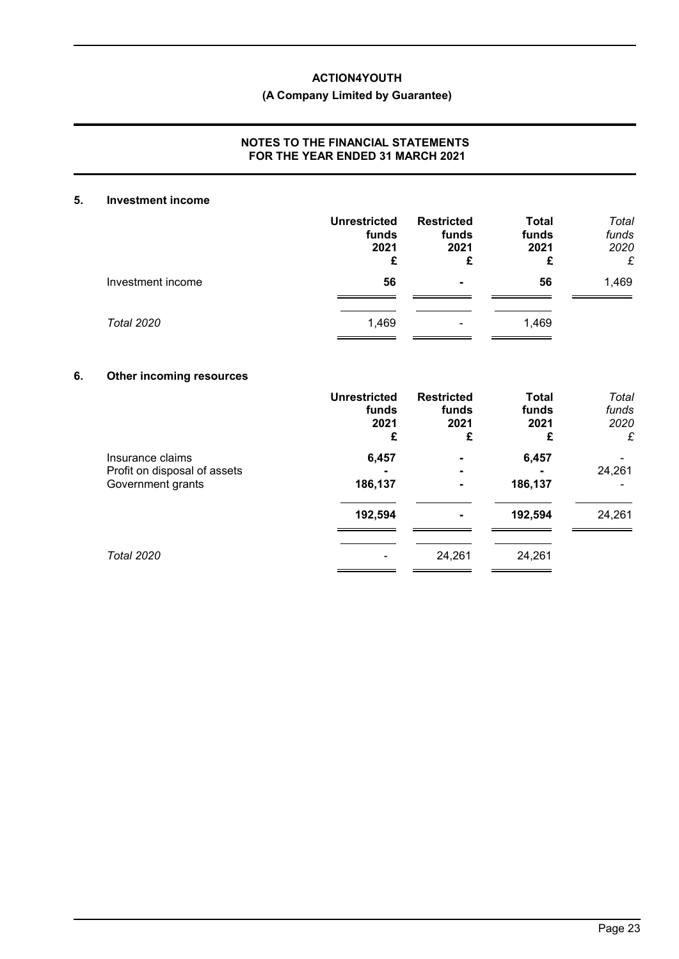# **(A Company Limited by Guarantee)**

### **NOTES TO THE FINANCIAL STATEMENTS FOR THE YEAR ENDED 31 MARCH 2021**

#### **5. Investment income**

|                   | <b>Unrestricted</b><br>funds<br>2021<br>£ | <b>Restricted</b><br>funds<br>2021<br>£ | <b>Total</b><br>funds<br>2021<br>£ | Total<br>funds<br>2020<br>£ |
|-------------------|-------------------------------------------|-----------------------------------------|------------------------------------|-----------------------------|
| Investment income | 56                                        | $\blacksquare$                          | 56                                 | 1,469                       |
| <b>Total 2020</b> | 1,469                                     | ۰                                       | 1,469                              |                             |

# **6. Other incoming resources**

|                                                                       | <b>Unrestricted</b><br>funds<br>2021<br>£ | <b>Restricted</b><br>funds<br>2021<br>£ | <b>Total</b><br>funds<br>2021<br>£ | Total<br>funds<br>2020<br>£ |
|-----------------------------------------------------------------------|-------------------------------------------|-----------------------------------------|------------------------------------|-----------------------------|
| Insurance claims<br>Profit on disposal of assets<br>Government grants | 6,457<br>186,137                          | $\blacksquare$                          | 6,457<br>186,137                   | 24,261                      |
|                                                                       | 192,594                                   | $\blacksquare$                          | 192,594                            | 24,261                      |
| <b>Total 2020</b>                                                     |                                           | 24,261                                  | 24,261                             |                             |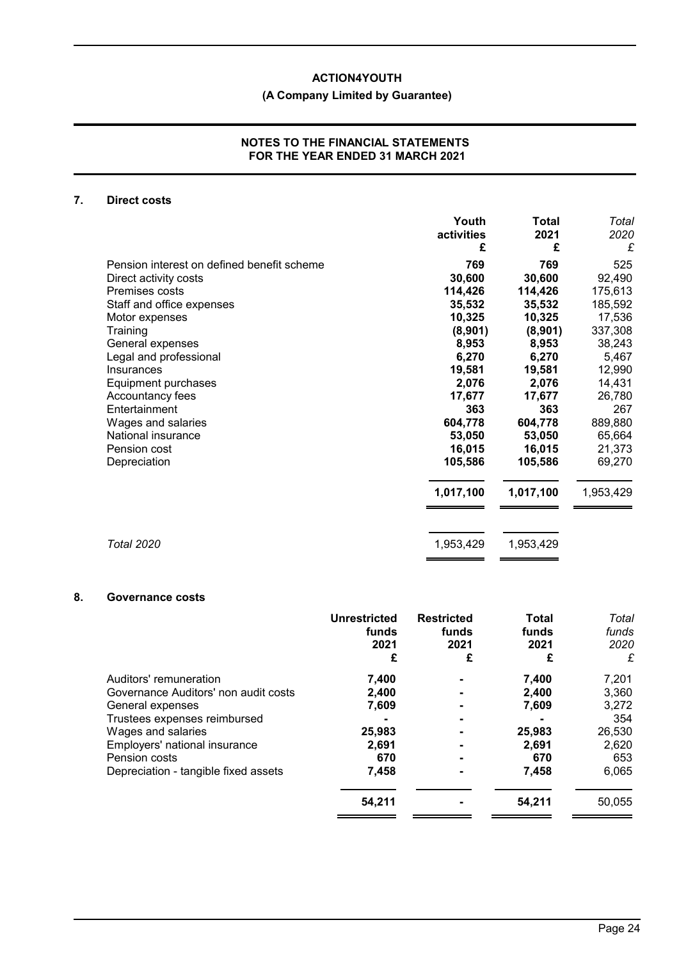# **(A Company Limited by Guarantee)**

#### **NOTES TO THE FINANCIAL STATEMENTS FOR THE YEAR ENDED 31 MARCH 2021**

### **7. Direct costs**

|                                            | Youth<br>activities | <b>Total</b><br>2021 | Total<br>2020 |
|--------------------------------------------|---------------------|----------------------|---------------|
|                                            | £                   | £                    | £             |
| Pension interest on defined benefit scheme | 769                 | 769                  | 525           |
| Direct activity costs                      | 30,600              | 30,600               | 92,490        |
| Premises costs                             | 114,426             | 114,426              | 175,613       |
| Staff and office expenses                  | 35,532              | 35,532               | 185,592       |
| Motor expenses                             | 10,325              | 10,325               | 17,536        |
| Training                                   | (8,901)             | (8,901)              | 337,308       |
| General expenses                           | 8,953               | 8,953                | 38,243        |
| Legal and professional                     | 6,270               | 6,270                | 5,467         |
| Insurances                                 | 19,581              | 19,581               | 12,990        |
| Equipment purchases                        | 2,076               | 2,076                | 14,431        |
| Accountancy fees                           | 17,677              | 17,677               | 26,780        |
| Entertainment                              | 363                 | 363                  | 267           |
| Wages and salaries                         | 604,778             | 604,778              | 889,880       |
| National insurance                         | 53,050              | 53,050               | 65,664        |
| Pension cost                               | 16,015              | 16,015               | 21,373        |
| Depreciation                               | 105,586             | 105,586              | 69,270        |
|                                            | 1,017,100           | 1,017,100            | 1,953,429     |
|                                            |                     |                      |               |
| <b>Total 2020</b>                          | 1,953,429           | 1,953,429            |               |
|                                            |                     |                      |               |

# **8. Governance costs**

|                                      | <b>Unrestricted</b><br>funds<br>2021<br>£ | <b>Restricted</b><br>funds<br>2021<br>£ | <b>Total</b><br>funds<br>2021<br>£ | Total<br>funds<br>2020<br>£ |
|--------------------------------------|-------------------------------------------|-----------------------------------------|------------------------------------|-----------------------------|
| Auditors' remuneration               | 7,400                                     |                                         | 7,400                              | 7,201                       |
| Governance Auditors' non audit costs | 2,400                                     |                                         | 2.400                              | 3,360                       |
| General expenses                     | 7,609                                     |                                         | 7,609                              | 3,272                       |
| Trustees expenses reimbursed         |                                           |                                         |                                    | 354                         |
| Wages and salaries                   | 25,983                                    |                                         | 25,983                             | 26,530                      |
| Employers' national insurance        | 2,691                                     |                                         | 2.691                              | 2,620                       |
| Pension costs                        | 670                                       |                                         | 670                                | 653                         |
| Depreciation - tangible fixed assets | 7,458                                     |                                         | 7,458                              | 6,065                       |
|                                      | 54,211                                    |                                         | 54,211                             | 50,055                      |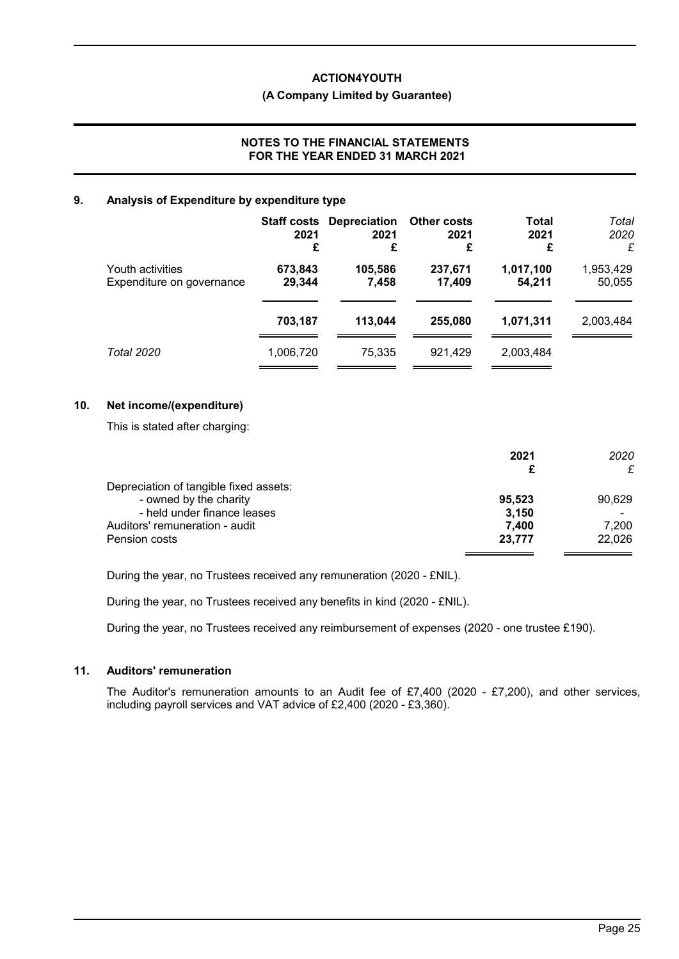#### **(A Company Limited by Guarantee)**

### **NOTES TO THE FINANCIAL STATEMENTS FOR THE YEAR ENDED 31 MARCH 2021**

### **9. Analysis of Expenditure by expenditure type**

|                                               | 2021<br>£         | <b>Staff costs Depreciation</b><br>2021<br>£ | <b>Other costs</b><br>2021<br>£ | Total<br>2021<br>£  | Total<br>2020<br>£  |
|-----------------------------------------------|-------------------|----------------------------------------------|---------------------------------|---------------------|---------------------|
| Youth activities<br>Expenditure on governance | 673,843<br>29,344 | 105,586<br>7,458                             | 237,671<br>17.409               | 1,017,100<br>54,211 | 1,953,429<br>50,055 |
|                                               | 703,187           | 113.044                                      | 255.080                         | 1,071,311           | 2,003,484           |
| Total 2020                                    | 1,006,720         | 75,335                                       | 921.429                         | 2,003,484           |                     |

# **10. Net income/(expenditure)**

This is stated after charging:

|                                        | 2021<br>£ | 2020<br>£ |
|----------------------------------------|-----------|-----------|
| Depreciation of tangible fixed assets: |           |           |
| - owned by the charity                 | 95,523    | 90,629    |
| - held under finance leases            | 3,150     |           |
| Auditors' remuneration - audit         | 7,400     | 7,200     |
| Pension costs                          | 23,777    | 22,026    |

During the year, no Trustees received any remuneration (2020 - £NIL).

During the year, no Trustees received any benefits in kind (2020 - £NIL).

During the year, no Trustees received any reimbursement of expenses (2020 - one trustee £190).

# **11. Auditors' remuneration**

The Auditor's remuneration amounts to an Audit fee of £7,400 (2020 - £7,200), and other services, including payroll services and VAT advice of £2,400 (2020 - £3,360).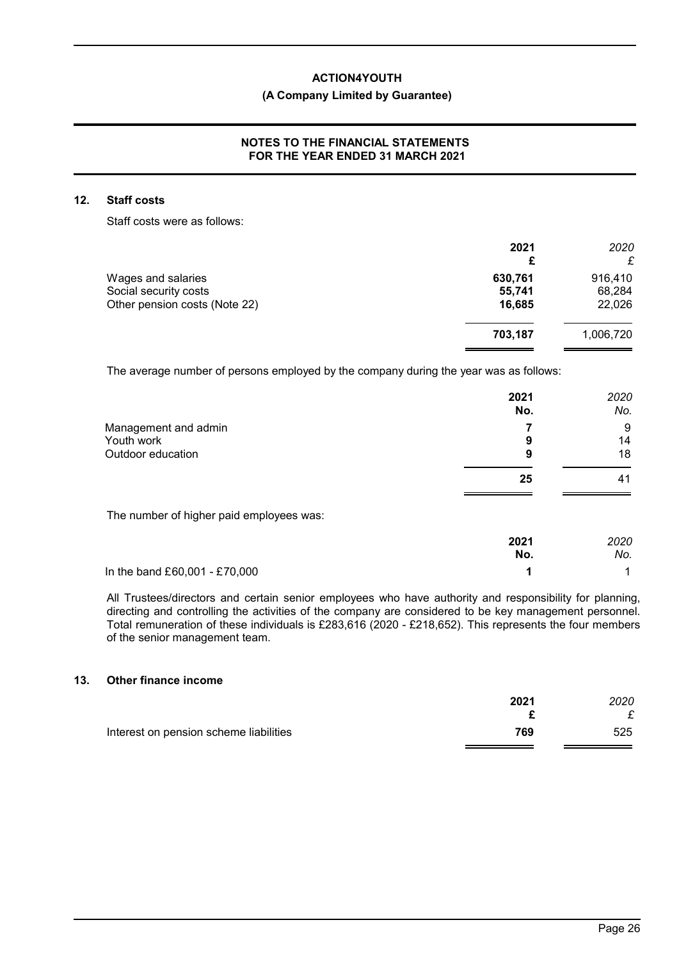### **(A Company Limited by Guarantee)**

### **NOTES TO THE FINANCIAL STATEMENTS FOR THE YEAR ENDED 31 MARCH 2021**

#### **12. Staff costs**

Staff costs were as follows:

|                               | 2021<br>£ | 2020      |
|-------------------------------|-----------|-----------|
| Wages and salaries            | 630,761   | 916,410   |
| Social security costs         | 55,741    | 68,284    |
| Other pension costs (Note 22) | 16,685    | 22,026    |
|                               | 703,187   | 1,006,720 |
|                               |           |           |

The average number of persons employed by the company during the year was as follows:

|                                          | 2021<br>No. | 2020<br>No. |
|------------------------------------------|-------------|-------------|
| Management and admin                     |             | 9           |
| Youth work                               | 9           | 14          |
| Outdoor education                        | 9           | 18          |
|                                          | 25          | 41          |
| The number of higher paid employees was: |             |             |
|                                          | 2021        | 2020        |
|                                          | No.         | No.         |

In the band £60,001 - £70,000 **1** 1

All Trustees/directors and certain senior employees who have authority and responsibility for planning, directing and controlling the activities of the company are considered to be key management personnel. Total remuneration of these individuals is £283,616 (2020 - £218,652). This represents the four members of the senior management team.

# **13. Other finance income**

|                                        | 2021 | 2020 |
|----------------------------------------|------|------|
|                                        |      |      |
| Interest on pension scheme liabilities | 769  | 525  |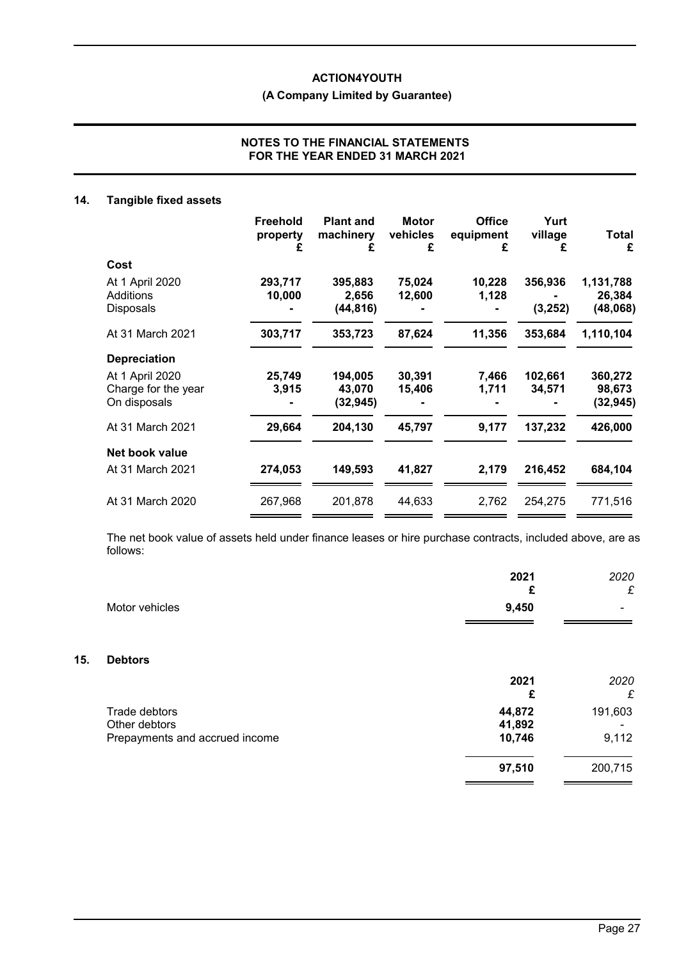# **(A Company Limited by Guarantee)**

### **NOTES TO THE FINANCIAL STATEMENTS FOR THE YEAR ENDED 31 MARCH 2021**

# **14. Tangible fixed assets**

**15. Debtors**

|                                                        | <b>Freehold</b><br>property<br>£ | <b>Plant and</b><br>machinery<br>£ | <b>Motor</b><br>vehicles<br>£ | <b>Office</b><br>equipment<br>£ | Yurt<br>village<br>£ | Total<br>£                      |
|--------------------------------------------------------|----------------------------------|------------------------------------|-------------------------------|---------------------------------|----------------------|---------------------------------|
| Cost                                                   |                                  |                                    |                               |                                 |                      |                                 |
| At 1 April 2020<br>Additions<br><b>Disposals</b>       | 293,717<br>10,000                | 395,883<br>2,656<br>(44, 816)      | 75,024<br>12,600              | 10,228<br>1,128                 | 356,936<br>(3, 252)  | 1,131,788<br>26,384<br>(48,068) |
| At 31 March 2021                                       | 303,717                          | 353,723                            | 87,624                        | 11,356                          | 353,684              | 1,110,104                       |
| <b>Depreciation</b>                                    |                                  |                                    |                               |                                 |                      |                                 |
| At 1 April 2020<br>Charge for the year<br>On disposals | 25,749<br>3,915                  | 194,005<br>43,070<br>(32, 945)     | 30,391<br>15,406              | 7,466<br>1,711                  | 102,661<br>34,571    | 360,272<br>98,673<br>(32, 945)  |
| At 31 March 2021                                       | 29,664                           | 204,130                            | 45,797                        | 9,177                           | 137,232              | 426,000                         |
| Net book value                                         |                                  |                                    |                               |                                 |                      |                                 |
| At 31 March 2021                                       | 274,053                          | 149,593                            | 41,827                        | 2,179                           | 216,452              | 684,104                         |
| At 31 March 2020                                       | 267,968                          | 201,878                            | 44,633                        | 2,762                           | 254,275              | 771,516                         |
|                                                        |                                  |                                    |                               |                                 |                      |                                 |

The net book value of assets held under finance leases or hire purchase contracts, included above, are as follows:

|                                                                  | 2021<br>£                  | 2020<br>£        |
|------------------------------------------------------------------|----------------------------|------------------|
| Motor vehicles                                                   | 9,450                      |                  |
| <b>Debtors</b>                                                   |                            |                  |
|                                                                  | 2021<br>£                  | 2020<br>£        |
| Trade debtors<br>Other debtors<br>Prepayments and accrued income | 44,872<br>41,892<br>10,746 | 191,603<br>9,112 |
|                                                                  | 97,510                     | 200,715          |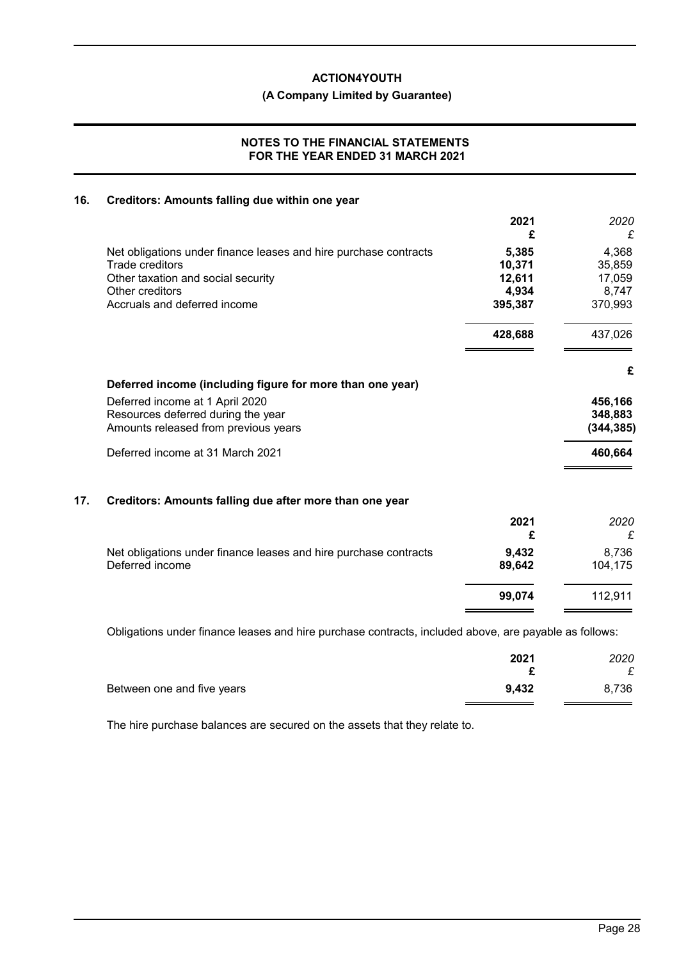**(A Company Limited by Guarantee)**

### **NOTES TO THE FINANCIAL STATEMENTS FOR THE YEAR ENDED 31 MARCH 2021**

# **16. Creditors: Amounts falling due within one year**

|                                                                  | 2021<br>£ | 2020<br>£  |
|------------------------------------------------------------------|-----------|------------|
| Net obligations under finance leases and hire purchase contracts | 5,385     | 4,368      |
| Trade creditors                                                  | 10,371    | 35,859     |
| Other taxation and social security                               | 12,611    | 17,059     |
| Other creditors                                                  | 4,934     | 8,747      |
| Accruals and deferred income                                     | 395,387   | 370,993    |
|                                                                  | 428,688   | 437,026    |
| Deferred income (including figure for more than one year)        |           | £          |
| Deferred income at 1 April 2020                                  |           | 456,166    |
| Resources deferred during the year                               |           | 348,883    |
| Amounts released from previous years                             |           | (344, 385) |
| Deferred income at 31 March 2021                                 |           | 460,664    |
|                                                                  |           |            |

# **17. Creditors: Amounts falling due after more than one year**

|                                                                                     | 2021            | 2020<br>£        |
|-------------------------------------------------------------------------------------|-----------------|------------------|
| Net obligations under finance leases and hire purchase contracts<br>Deferred income | 9,432<br>89.642 | 8.736<br>104,175 |
|                                                                                     | 99.074          | 112.911          |

Obligations under finance leases and hire purchase contracts, included above, are payable as follows:

|                            | 2021  | 2020  |
|----------------------------|-------|-------|
|                            |       | £     |
| Between one and five years | 9,432 | 8,736 |
|                            |       |       |

The hire purchase balances are secured on the assets that they relate to.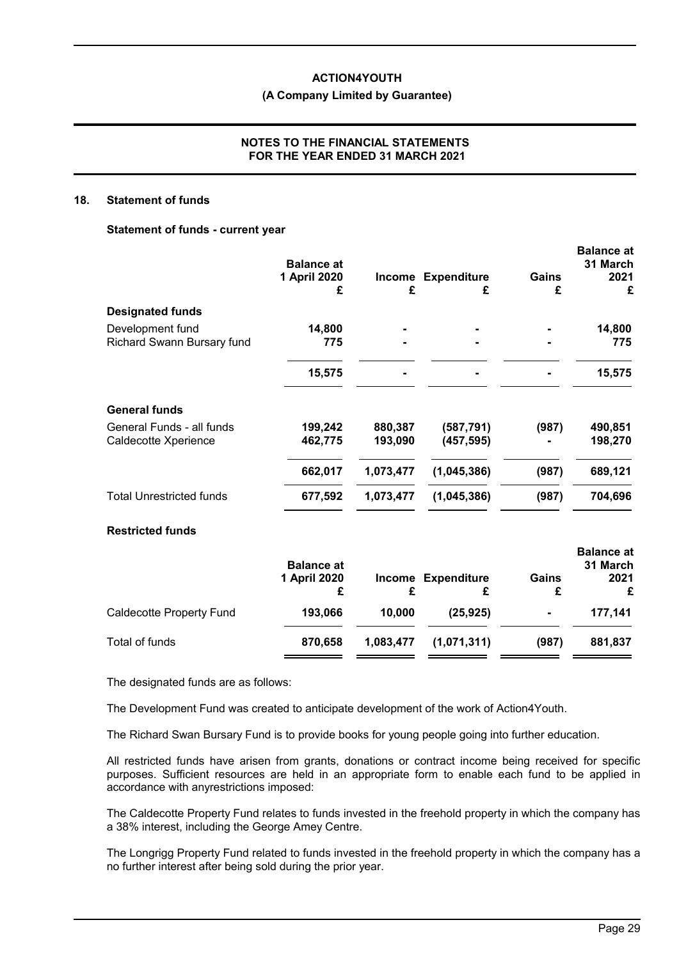**(A Company Limited by Guarantee)**

### **NOTES TO THE FINANCIAL STATEMENTS FOR THE YEAR ENDED 31 MARCH 2021**

#### **18. Statement of funds**

#### **Statement of funds - current year**

|                                                   | <b>Balance at</b><br>1 April 2020<br>£ | Income<br>£        | <b>Expenditure</b><br>£ | Gains<br>£ | <b>Balance at</b><br>31 March<br>2021<br>£ |
|---------------------------------------------------|----------------------------------------|--------------------|-------------------------|------------|--------------------------------------------|
| <b>Designated funds</b>                           |                                        |                    |                         |            |                                            |
| Development fund<br>Richard Swann Bursary fund    | 14,800<br>775                          |                    |                         |            | 14,800<br>775                              |
|                                                   | 15,575                                 |                    |                         |            | 15,575                                     |
| <b>General funds</b>                              |                                        |                    |                         |            |                                            |
| General Funds - all funds<br>Caldecotte Xperience | 199,242<br>462,775                     | 880,387<br>193,090 | (587,791)<br>(457, 595) | (987)      | 490,851<br>198,270                         |
|                                                   | 662,017                                | 1,073,477          | (1,045,386)             | (987)      | 689,121                                    |
| <b>Total Unrestricted funds</b>                   | 677,592                                | 1,073,477          | (1,045,386)             | (987)      | 704,696                                    |
| <b>Restricted funds</b>                           |                                        |                    |                         |            | <b>Delega</b> -                            |

|                          | <b>Balance at</b> |           |                    |                | Dalalice al<br>31 March |
|--------------------------|-------------------|-----------|--------------------|----------------|-------------------------|
|                          | 1 April 2020      |           | Income Expenditure | Gains<br>£     | 2021<br>£               |
| Caldecotte Property Fund | 193,066           | 10,000    | (25, 925)          | $\blacksquare$ | 177.141                 |
| Total of funds           | 870.658           | 1,083,477 | (1,071,311)        | (987)          | 881,837                 |

The designated funds are as follows:

The Development Fund was created to anticipate development of the work of Action4Youth.

The Richard Swan Bursary Fund is to provide books for young people going into further education.

All restricted funds have arisen from grants, donations or contract income being received for specific purposes. Sufficient resources are held in an appropriate form to enable each fund to be applied in accordance with anyrestrictions imposed:

The Caldecotte Property Fund relates to funds invested in the freehold property in which the company has a 38% interest, including the George Amey Centre.

The Longrigg Property Fund related to funds invested in the freehold property in which the company has a no further interest after being sold during the prior year.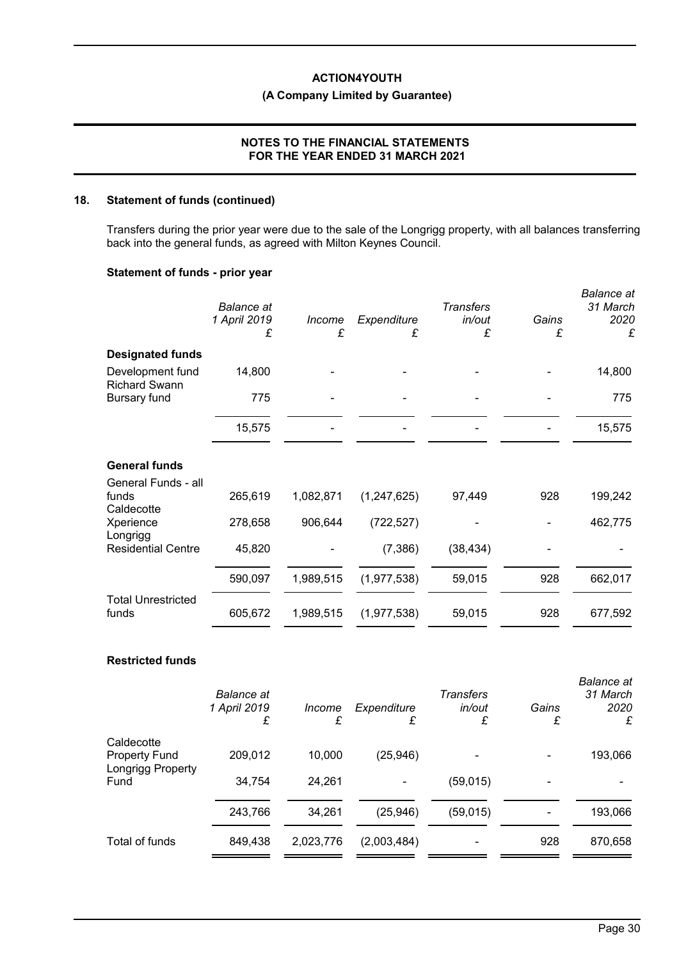# **(A Company Limited by Guarantee)**

### **NOTES TO THE FINANCIAL STATEMENTS FOR THE YEAR ENDED 31 MARCH 2021**

### **18. Statement of funds (continued)**

Transfers during the prior year were due to the sale of the Longrigg property, with all balances transferring back into the general funds, as agreed with Milton Keynes Council.

### **Statement of funds - prior year**

|                                            | <b>Balance</b> at<br>1 April 2019<br>£ | Income<br>£ | Expenditure<br>£ | <b>Transfers</b><br>in/out<br>£ | Gains<br>£ | <b>Balance</b> at<br>31 March<br>2020<br>£ |
|--------------------------------------------|----------------------------------------|-------------|------------------|---------------------------------|------------|--------------------------------------------|
| <b>Designated funds</b>                    |                                        |             |                  |                                 |            |                                            |
| Development fund<br><b>Richard Swann</b>   | 14,800                                 |             |                  |                                 |            | 14,800                                     |
| <b>Bursary fund</b>                        | 775                                    |             |                  |                                 |            | 775                                        |
|                                            | 15,575                                 |             |                  |                                 |            | 15,575                                     |
| <b>General funds</b>                       |                                        |             |                  |                                 |            |                                            |
| General Funds - all<br>funds<br>Caldecotte | 265,619                                | 1,082,871   | (1, 247, 625)    | 97,449                          | 928        | 199,242                                    |
| Xperience                                  | 278,658                                | 906,644     | (722, 527)       |                                 |            | 462,775                                    |
| Longrigg<br><b>Residential Centre</b>      | 45,820                                 |             | (7,386)          | (38, 434)                       |            |                                            |
|                                            | 590,097                                | 1,989,515   | (1,977,538)      | 59,015                          | 928        | 662,017                                    |
| <b>Total Unrestricted</b><br>funds         | 605,672                                | 1,989,515   | (1,977,538)      | 59,015                          | 928        | 677,592                                    |
| <b>Restricted funds</b>                    |                                        |             |                  |                                 |            |                                            |

|                                  | <b>Balance</b> at<br>1 April 2019<br>£ | Income<br>£ | Expenditure<br>£ | Transfers<br>in/out<br>£ | Gains<br>£ | <b>Balance</b> at<br>31 March<br>2020<br>£ |
|----------------------------------|----------------------------------------|-------------|------------------|--------------------------|------------|--------------------------------------------|
| Caldecotte                       |                                        |             |                  |                          |            |                                            |
| <b>Property Fund</b>             | 209,012                                | 10,000      | (25, 946)        |                          |            | 193,066                                    |
| <b>Longrigg Property</b><br>Fund | 34,754                                 | 24,261      |                  | (59, 015)                |            |                                            |
|                                  | 243,766                                | 34,261      | (25, 946)        | (59, 015)                |            | 193,066                                    |
| Total of funds                   | 849,438                                | 2,023,776   | (2,003,484)      | -                        | 928        | 870,658                                    |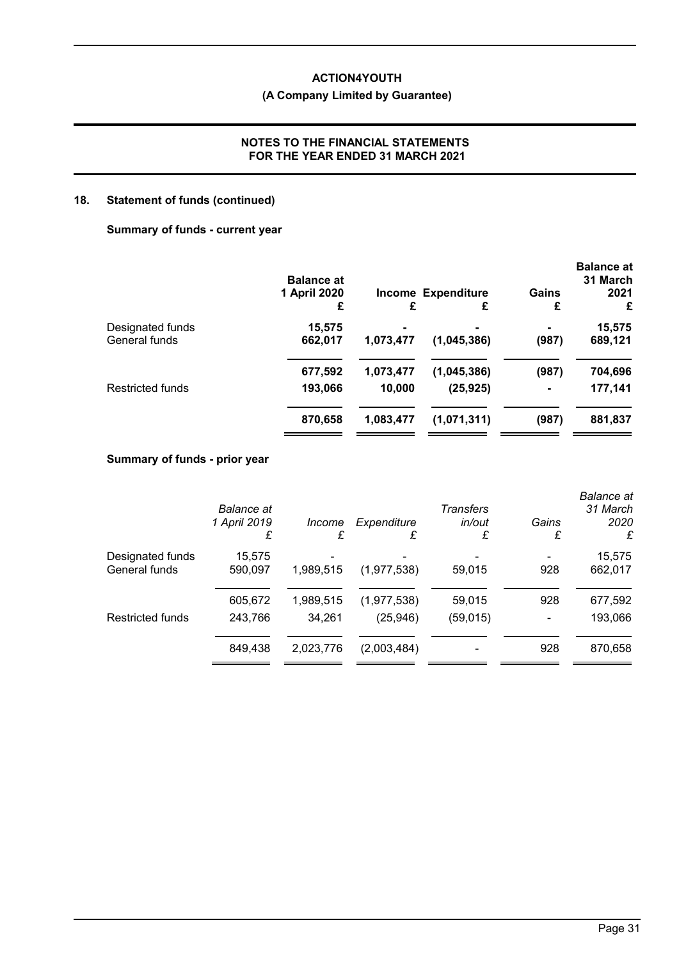# **(A Company Limited by Guarantee)**

# **NOTES TO THE FINANCIAL STATEMENTS FOR THE YEAR ENDED 31 MARCH 2021**

# **18. Statement of funds (continued)**

### **Summary of funds - current year**

|                         | <b>Balance at</b> |                |                                |                | <b>Balance at</b><br>31 March |
|-------------------------|-------------------|----------------|--------------------------------|----------------|-------------------------------|
|                         | 1 April 2020<br>£ | £              | <b>Income Expenditure</b><br>£ | Gains<br>£     | 2021<br>£                     |
| Designated funds        | 15,575            | $\blacksquare$ | $\blacksquare$                 |                | 15,575                        |
| General funds           | 662,017           | 1,073,477      | (1,045,386)                    | (987)          | 689,121                       |
|                         | 677,592           | 1,073,477      | (1,045,386)                    | (987)          | 704,696                       |
| <b>Restricted funds</b> | 193,066           | 10,000         | (25, 925)                      | $\blacksquare$ | 177,141                       |
|                         | 870,658           | 1,083,477      | (1,071,311)                    | (987)          | 881,837                       |

# **Summary of funds - prior year**

|                                   | Balance at<br>1 April 2019<br>£ | <i>Income</i><br>£  | Expenditure<br>£         | Transfers<br>in/out<br>£ | Gains<br>£ | <b>Balance</b> at<br>31 March<br>2020<br>£ |
|-----------------------------------|---------------------------------|---------------------|--------------------------|--------------------------|------------|--------------------------------------------|
| Designated funds<br>General funds | 15,575<br>590,097               | 1,989,515           | (1, 977, 538)            | 59,015                   | 928        | 15,575<br>662,017                          |
| <b>Restricted funds</b>           | 605,672<br>243,766              | 1,989,515<br>34,261 | (1,977,538)<br>(25, 946) | 59,015<br>(59, 015)      | 928        | 677,592<br>193,066                         |
|                                   | 849,438                         | 2,023,776           | (2,003,484)              |                          | 928        | 870,658                                    |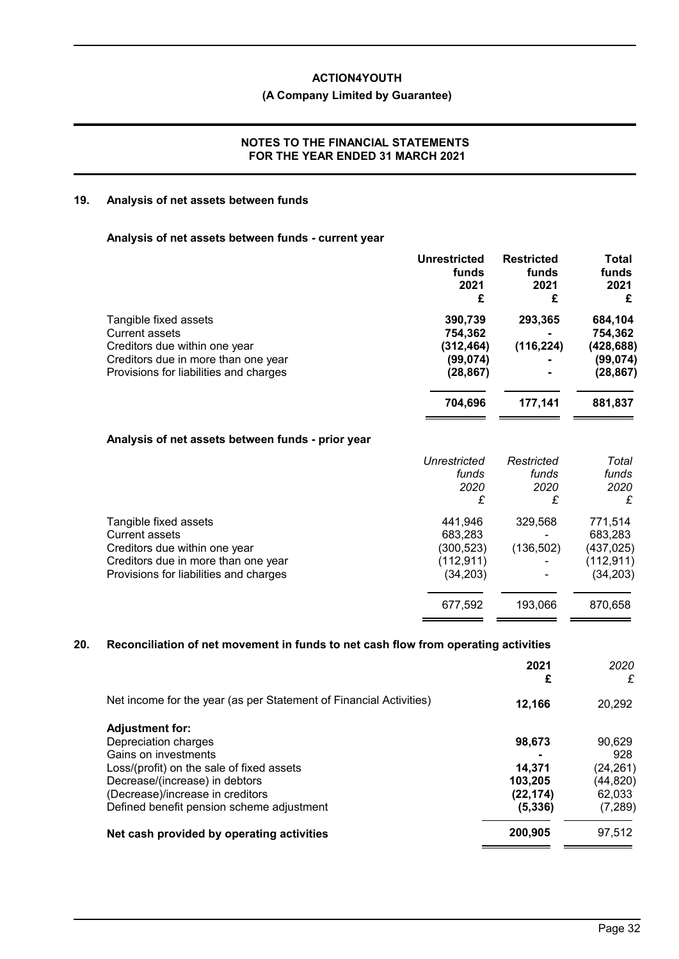# **(A Company Limited by Guarantee)**

### **NOTES TO THE FINANCIAL STATEMENTS FOR THE YEAR ENDED 31 MARCH 2021**

# **19. Analysis of net assets between funds**

#### **Analysis of net assets between funds - current year**

|                                                                                                                                                                  | <b>Unrestricted</b><br>funds<br>2021<br>£                  | <b>Restricted</b><br>funds<br>2021<br>£ | Total<br>funds<br>2021<br>£                                 |
|------------------------------------------------------------------------------------------------------------------------------------------------------------------|------------------------------------------------------------|-----------------------------------------|-------------------------------------------------------------|
| Tangible fixed assets<br><b>Current assets</b><br>Creditors due within one year<br>Creditors due in more than one year<br>Provisions for liabilities and charges | 390,739<br>754,362<br>(312, 464)<br>(99, 074)<br>(28, 867) | 293,365<br>(116, 224)                   | 684,104<br>754,362<br>(428, 688)<br>(99, 074)<br>(28, 867)  |
|                                                                                                                                                                  | 704,696                                                    | 177,141                                 | 881,837                                                     |
| Analysis of net assets between funds - prior year                                                                                                                |                                                            |                                         |                                                             |
|                                                                                                                                                                  | Unrestricted<br>funds<br>2020<br>£                         | Restricted<br>funds<br>2020<br>£        | Total<br>funds<br>2020<br>£                                 |
| Tangible fixed assets<br><b>Current assets</b><br>Creditors due within one year<br>Creditors due in more than one year<br>Provisions for liabilities and charges | 441,946<br>683,283<br>(300,523)<br>(112, 911)<br>(34, 203) | 329,568<br>(136, 502)                   | 771,514<br>683,283<br>(437, 025)<br>(112, 911)<br>(34, 203) |
|                                                                                                                                                                  | 677,592                                                    | 193,066                                 | 870,658                                                     |

# **20. Reconciliation of net movement in funds to net cash flow from operating activities**

|                                                                    | 2021<br>£ | 2020<br>£ |
|--------------------------------------------------------------------|-----------|-----------|
| Net income for the year (as per Statement of Financial Activities) | 12,166    | 20,292    |
| <b>Adjustment for:</b>                                             |           |           |
| Depreciation charges                                               | 98,673    | 90,629    |
| Gains on investments                                               |           | 928       |
| Loss/(profit) on the sale of fixed assets                          | 14,371    | (24, 261) |
| Decrease/(increase) in debtors                                     | 103,205   | (44, 820) |
| (Decrease)/increase in creditors                                   | (22, 174) | 62.033    |
| Defined benefit pension scheme adjustment                          | (5, 336)  | (7, 289)  |
| Net cash provided by operating activities                          | 200,905   | 97,512    |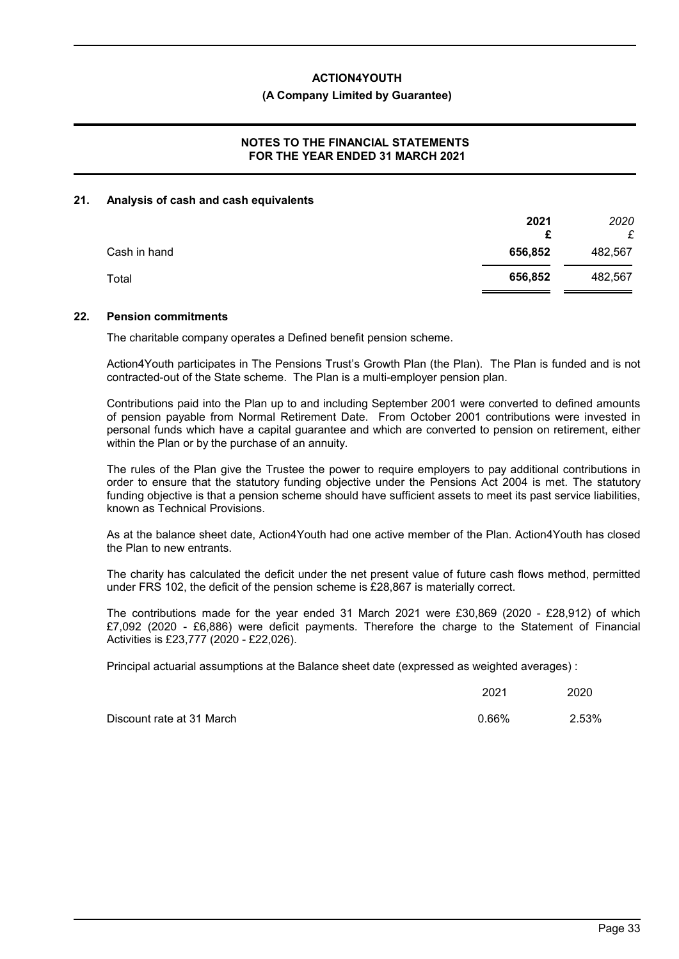#### **(A Company Limited by Guarantee)**

### **NOTES TO THE FINANCIAL STATEMENTS FOR THE YEAR ENDED 31 MARCH 2021**

### **21. Analysis of cash and cash equivalents**

|              | 2021<br>£ | 2020<br>£ |
|--------------|-----------|-----------|
| Cash in hand | 656,852   | 482,567   |
| Total        | 656,852   | 482,567   |

#### **22. Pension commitments**

The charitable company operates a Defined benefit pension scheme.

Action4Youth participates in The Pensions Trust's Growth Plan (the Plan). The Plan is funded and is not contracted-out of the State scheme. The Plan is a multi-employer pension plan.

Contributions paid into the Plan up to and including September 2001 were converted to defined amounts of pension payable from Normal Retirement Date. From October 2001 contributions were invested in personal funds which have a capital guarantee and which are converted to pension on retirement, either within the Plan or by the purchase of an annuity.

The rules of the Plan give the Trustee the power to require employers to pay additional contributions in order to ensure that the statutory funding objective under the Pensions Act 2004 is met. The statutory funding objective is that a pension scheme should have sufficient assets to meet its past service liabilities, known as Technical Provisions.

As at the balance sheet date, Action4Youth had one active member of the Plan. Action4Youth has closed the Plan to new entrants.

The charity has calculated the deficit under the net present value of future cash flows method, permitted under FRS 102, the deficit of the pension scheme is £28,867 is materially correct.

The contributions made for the year ended 31 March 2021 were £30,869 (2020 - £28,912) of which £7,092 (2020 - £6,886) were deficit payments. Therefore the charge to the Statement of Financial Activities is £23,777 (2020 - £22,026).

Principal actuarial assumptions at the Balance sheet date (expressed as weighted averages) :

|                           | 2021  | 2020  |
|---------------------------|-------|-------|
| Discount rate at 31 March | 0.66% | 2.53% |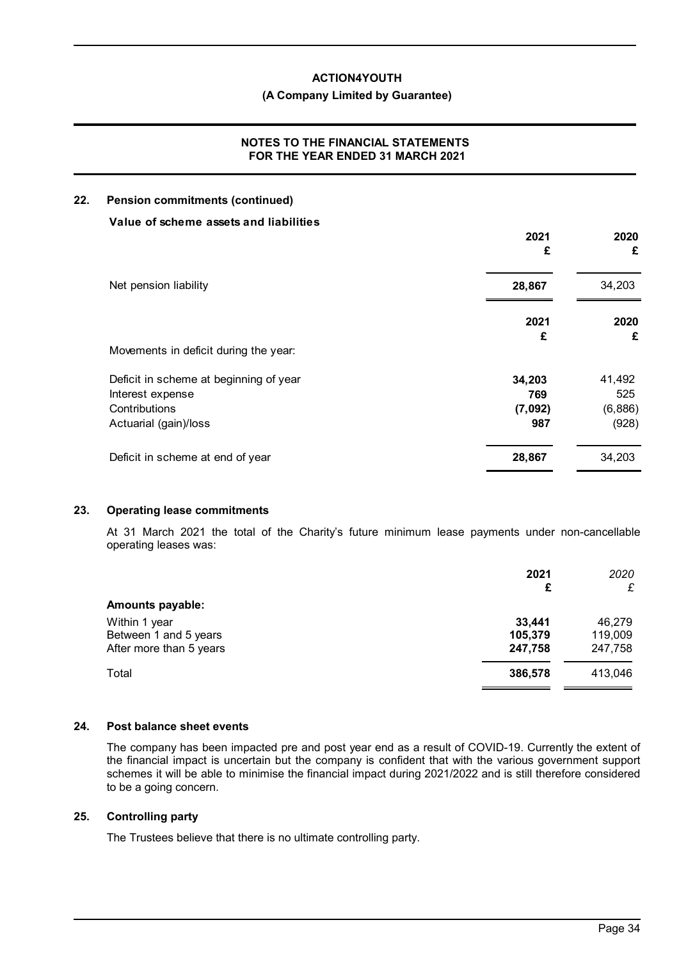### **(A Company Limited by Guarantee)**

# **NOTES TO THE FINANCIAL STATEMENTS FOR THE YEAR ENDED 31 MARCH 2021**

# **22. Pension commitments (continued)**

| Value of scheme assets and liabilities | 2021<br>£ | 2020<br>£ |
|----------------------------------------|-----------|-----------|
| Net pension liability                  | 28,867    | 34,203    |
|                                        | 2021<br>£ | 2020<br>£ |
| Movements in deficit during the year:  |           |           |
| Deficit in scheme at beginning of year | 34,203    | 41,492    |
| Interest expense                       | 769       | 525       |
| Contributions                          | (7,092)   | (6,886)   |
| Actuarial (gain)/loss                  | 987       | (928)     |
| Deficit in scheme at end of year       | 28,867    | 34,203    |

# **23. Operating lease commitments**

At 31 March 2021 the total of the Charity's future minimum lease payments under non-cancellable operating leases was:

|                         | 2021<br>£ | 2020<br>£ |
|-------------------------|-----------|-----------|
| <b>Amounts payable:</b> |           |           |
| Within 1 year           | 33,441    | 46,279    |
| Between 1 and 5 years   | 105,379   | 119,009   |
| After more than 5 years | 247,758   | 247,758   |
| Total                   | 386,578   | 413,046   |
|                         |           |           |

### **24. Post balance sheet events**

The company has been impacted pre and post year end as a result of COVID-19. Currently the extent of the financial impact is uncertain but the company is confident that with the various government support schemes it will be able to minimise the financial impact during 2021/2022 and is still therefore considered to be a going concern.

# **25. Controlling party**

The Trustees believe that there is no ultimate controlling party.